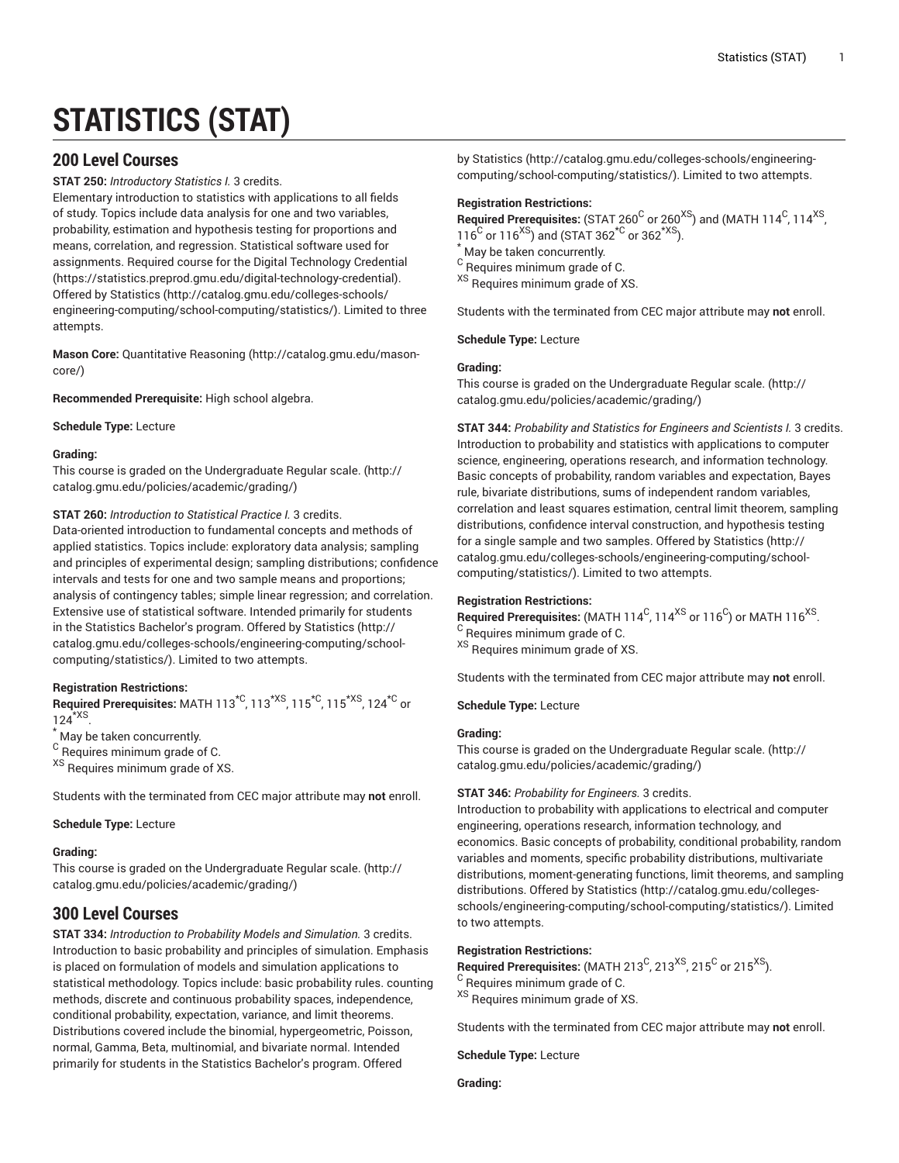# **STATISTICS (STAT)**

# **200 Level Courses**

**STAT 250:** *Introductory Statistics I.* 3 credits.

Elementary introduction to statistics with applications to all fields of study. Topics include data analysis for one and two variables, probability, estimation and hypothesis testing for proportions and means, correlation, and regression. Statistical software used for assignments. Required course for the Digital Technology Credential (https://statistics.preprod.gmu.edu/digital-technology-credential). Offered by [Statistics](http://catalog.gmu.edu/colleges-schools/engineering-computing/school-computing/statistics/) ([http://catalog.gmu.edu/colleges-schools/](http://catalog.gmu.edu/colleges-schools/engineering-computing/school-computing/statistics/) [engineering-computing/school-computing/statistics/](http://catalog.gmu.edu/colleges-schools/engineering-computing/school-computing/statistics/)). Limited to three attempts.

**Mason Core:** [Quantitative](http://catalog.gmu.edu/mason-core/) Reasoning [\(http://catalog.gmu.edu/mason](http://catalog.gmu.edu/mason-core/)[core/\)](http://catalog.gmu.edu/mason-core/)

**Recommended Prerequisite:** High school algebra.

**Schedule Type:** Lecture

# **Grading:**

This course is graded on the [Undergraduate](http://catalog.gmu.edu/policies/academic/grading/) Regular scale. ([http://](http://catalog.gmu.edu/policies/academic/grading/) [catalog.gmu.edu/policies/academic/grading/\)](http://catalog.gmu.edu/policies/academic/grading/)

# **STAT 260:** *Introduction to Statistical Practice I.* 3 credits.

Data-oriented introduction to fundamental concepts and methods of applied statistics. Topics include: exploratory data analysis; sampling and principles of experimental design; sampling distributions; confidence intervals and tests for one and two sample means and proportions; analysis of contingency tables; simple linear regression; and correlation. Extensive use of statistical software. Intended primarily for students in the Statistics Bachelor's program. Offered by [Statistics \(http://](http://catalog.gmu.edu/colleges-schools/engineering-computing/school-computing/statistics/) [catalog.gmu.edu/colleges-schools/engineering-computing/school](http://catalog.gmu.edu/colleges-schools/engineering-computing/school-computing/statistics/)[computing/statistics/\)](http://catalog.gmu.edu/colleges-schools/engineering-computing/school-computing/statistics/). Limited to two attempts.

# **Registration Restrictions:**

**Required Prerequisites:** MATH 113 \*C , 113\*XS, 115\*C , 115\*XS, 124\*C or  $124$ <sup>\*XS</sup>.

\* May be taken concurrently.

<sup>C</sup> Requires minimum grade of C.

XS Requires minimum grade of XS.

Students with the terminated from CEC major attribute may **not** enroll.

**Schedule Type:** Lecture

# **Grading:**

This course is graded on the [Undergraduate](http://catalog.gmu.edu/policies/academic/grading/) Regular scale. ([http://](http://catalog.gmu.edu/policies/academic/grading/) [catalog.gmu.edu/policies/academic/grading/\)](http://catalog.gmu.edu/policies/academic/grading/)

# **300 Level Courses**

**STAT 334:** *Introduction to Probability Models and Simulation.* 3 credits. Introduction to basic probability and principles of simulation. Emphasis is placed on formulation of models and simulation applications to statistical methodology. Topics include: basic probability rules. counting methods, discrete and continuous probability spaces, independence, conditional probability, expectation, variance, and limit theorems. Distributions covered include the binomial, hypergeometric, Poisson, normal, Gamma, Beta, multinomial, and bivariate normal. Intended primarily for students in the Statistics Bachelor's program. Offered

by [Statistics](http://catalog.gmu.edu/colleges-schools/engineering-computing/school-computing/statistics/) ([http://catalog.gmu.edu/colleges-schools/engineering](http://catalog.gmu.edu/colleges-schools/engineering-computing/school-computing/statistics/)[computing/school-computing/statistics/](http://catalog.gmu.edu/colleges-schools/engineering-computing/school-computing/statistics/)). Limited to two attempts.

# **Registration Restrictions:**

 $\bf{Required \textit{Prerequisite:} }$  (STAT 260 $^{\rm C}$  or 260 $^{\rm XS}$ ) and (MATH 114 $^{\rm C}$ , 114 $^{\rm XS}$ , 116<sup>C</sup> or 116<sup>XS</sup>) and (STAT 362<sup>\*C</sup> or 362<sup>\*XS</sup>).

\* May be taken concurrently.

<sup>C</sup> Requires minimum grade of C.

XS Requires minimum grade of XS.

Students with the terminated from CEC major attribute may **not** enroll.

**Schedule Type:** Lecture

# **Grading:**

This course is graded on the [Undergraduate](http://catalog.gmu.edu/policies/academic/grading/) Regular scale. ([http://](http://catalog.gmu.edu/policies/academic/grading/) [catalog.gmu.edu/policies/academic/grading/](http://catalog.gmu.edu/policies/academic/grading/))

**STAT 344:** *Probability and Statistics for Engineers and Scientists I.* 3 credits. Introduction to probability and statistics with applications to computer science, engineering, operations research, and information technology. Basic concepts of probability, random variables and expectation, Bayes rule, bivariate distributions, sums of independent random variables, correlation and least squares estimation, central limit theorem, sampling distributions, confidence interval construction, and hypothesis testing for a single sample and two samples. Offered by [Statistics](http://catalog.gmu.edu/colleges-schools/engineering-computing/school-computing/statistics/) ([http://](http://catalog.gmu.edu/colleges-schools/engineering-computing/school-computing/statistics/) [catalog.gmu.edu/colleges-schools/engineering-computing/school](http://catalog.gmu.edu/colleges-schools/engineering-computing/school-computing/statistics/)[computing/statistics/](http://catalog.gmu.edu/colleges-schools/engineering-computing/school-computing/statistics/)). Limited to two attempts.

# **Registration Restrictions:**

 $\bf{Required\ Pre requires:}$  (MATH 114 $\rm{^C}$ , 114 $\rm{^{XS}}$  or 116 $\rm{^C}$ ) or MATH 116 $\rm{^{XS}}$ . <sup>C</sup> Requires minimum grade of C.

XS Requires minimum grade of XS.

Students with the terminated from CEC major attribute may **not** enroll.

**Schedule Type:** Lecture

# **Grading:**

This course is graded on the [Undergraduate](http://catalog.gmu.edu/policies/academic/grading/) Regular scale. ([http://](http://catalog.gmu.edu/policies/academic/grading/) [catalog.gmu.edu/policies/academic/grading/](http://catalog.gmu.edu/policies/academic/grading/))

# **STAT 346:** *Probability for Engineers.* 3 credits.

Introduction to probability with applications to electrical and computer engineering, operations research, information technology, and economics. Basic concepts of probability, conditional probability, random variables and moments, specific probability distributions, multivariate distributions, moment-generating functions, limit theorems, and sampling distributions. Offered by [Statistics](http://catalog.gmu.edu/colleges-schools/engineering-computing/school-computing/statistics/) ([http://catalog.gmu.edu/colleges](http://catalog.gmu.edu/colleges-schools/engineering-computing/school-computing/statistics/)[schools/engineering-computing/school-computing/statistics/](http://catalog.gmu.edu/colleges-schools/engineering-computing/school-computing/statistics/)). Limited to two attempts.

# **Registration Restrictions:**

Required Prerequisites: (MATH 213<sup>C</sup>, 213<sup>XS</sup>, 215<sup>C</sup> or 215<sup>XS</sup>).  $^{\rm C}$  Requires minimum grade of C.

XS Requires minimum grade of XS.

Students with the terminated from CEC major attribute may **not** enroll.

**Schedule Type:** Lecture

**Grading:**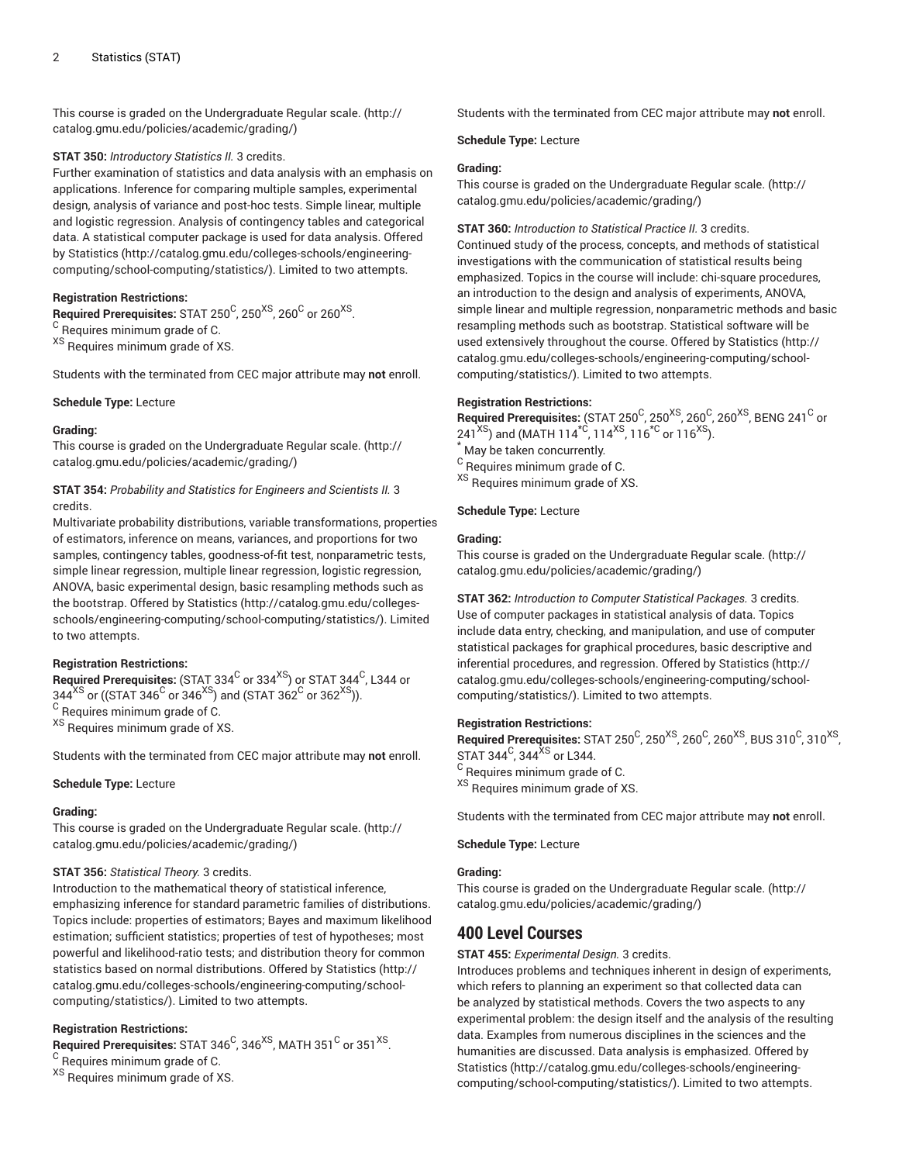This course is graded on the [Undergraduate](http://catalog.gmu.edu/policies/academic/grading/) Regular scale. ([http://](http://catalog.gmu.edu/policies/academic/grading/) [catalog.gmu.edu/policies/academic/grading/\)](http://catalog.gmu.edu/policies/academic/grading/)

# **STAT 350:** *Introductory Statistics II.* 3 credits.

Further examination of statistics and data analysis with an emphasis on applications. Inference for comparing multiple samples, experimental design, analysis of variance and post-hoc tests. Simple linear, multiple and logistic regression. Analysis of contingency tables and categorical data. A statistical computer package is used for data analysis. Offered by [Statistics \(http://catalog.gmu.edu/colleges-schools/engineering](http://catalog.gmu.edu/colleges-schools/engineering-computing/school-computing/statistics/)[computing/school-computing/statistics/](http://catalog.gmu.edu/colleges-schools/engineering-computing/school-computing/statistics/)). Limited to two attempts.

## **Registration Restrictions:**

 $\,$  Required Prerequisites: <code>STAT</code> 250 $^{\rm C}$ , 250 $^{\rm XS}$ , 260 $^{\rm C}$  or 260 $^{\rm XS}$ . <sup>C</sup> Requires minimum grade of C. XS Requires minimum grade of XS.

Students with the terminated from CEC major attribute may **not** enroll.

**Schedule Type:** Lecture

#### **Grading:**

This course is graded on the [Undergraduate](http://catalog.gmu.edu/policies/academic/grading/) Regular scale. ([http://](http://catalog.gmu.edu/policies/academic/grading/) [catalog.gmu.edu/policies/academic/grading/\)](http://catalog.gmu.edu/policies/academic/grading/)

# **STAT 354:** *Probability and Statistics for Engineers and Scientists II.* 3 credits.

Multivariate probability distributions, variable transformations, properties of estimators, inference on means, variances, and proportions for two samples, contingency tables, goodness-of-fit test, nonparametric tests, simple linear regression, multiple linear regression, logistic regression, ANOVA, basic experimental design, basic resampling methods such as the bootstrap. Offered by [Statistics](http://catalog.gmu.edu/colleges-schools/engineering-computing/school-computing/statistics/) ([http://catalog.gmu.edu/colleges](http://catalog.gmu.edu/colleges-schools/engineering-computing/school-computing/statistics/)[schools/engineering-computing/school-computing/statistics/\)](http://catalog.gmu.edu/colleges-schools/engineering-computing/school-computing/statistics/). Limited to two attempts.

# **Registration Restrictions:**

 $\bf{Required\ Pre requires:}$  (STAT 334 $^{\rm C}$  or 334 $^{\rm XS}$ ) or STAT 344 $^{\rm C}$ , L344 or  $344^{\mathrm{XS}}$  or ((STAT  $346^{\mathrm{C}}$  or  $346^{\mathrm{XS}}$ ) and (STAT  $362^{\mathrm{C}}$  or  $362^{\mathrm{XS}}$ )).  $^{\rm C}$  Requires minimum grade of C. XS Requires minimum grade of XS.

Students with the terminated from CEC major attribute may **not** enroll.

# **Schedule Type:** Lecture

# **Grading:**

This course is graded on the [Undergraduate](http://catalog.gmu.edu/policies/academic/grading/) Regular scale. ([http://](http://catalog.gmu.edu/policies/academic/grading/) [catalog.gmu.edu/policies/academic/grading/\)](http://catalog.gmu.edu/policies/academic/grading/)

# **STAT 356:** *Statistical Theory.* 3 credits.

Introduction to the mathematical theory of statistical inference, emphasizing inference for standard parametric families of distributions. Topics include: properties of estimators; Bayes and maximum likelihood estimation; sufficient statistics; properties of test of hypotheses; most powerful and likelihood-ratio tests; and distribution theory for common statistics based on normal distributions. Offered by [Statistics](http://catalog.gmu.edu/colleges-schools/engineering-computing/school-computing/statistics/) ([http://](http://catalog.gmu.edu/colleges-schools/engineering-computing/school-computing/statistics/) [catalog.gmu.edu/colleges-schools/engineering-computing/school](http://catalog.gmu.edu/colleges-schools/engineering-computing/school-computing/statistics/)[computing/statistics/\)](http://catalog.gmu.edu/colleges-schools/engineering-computing/school-computing/statistics/). Limited to two attempts.

# **Registration Restrictions:**

 $\mathsf{\mathsf{Required\ Pre} regions}$  Freed  $\mathsf{\mathsf{R}}$  and  $\mathsf{\mathsf{C}}$  , 346  $\mathrm{\mathsf{C}}$  , 346  $\mathrm{\mathsf{N}}$  , MATH 351  $\mathrm{\mathsf{C}}$  or 351  $\mathrm{\mathsf{N}}$  S.

<sup>C</sup> Requires minimum grade of C.

XS Requires minimum grade of XS.

Students with the terminated from CEC major attribute may **not** enroll.

## **Schedule Type:** Lecture

## **Grading:**

This course is graded on the [Undergraduate](http://catalog.gmu.edu/policies/academic/grading/) Regular scale. ([http://](http://catalog.gmu.edu/policies/academic/grading/) [catalog.gmu.edu/policies/academic/grading/](http://catalog.gmu.edu/policies/academic/grading/))

**STAT 360:** *Introduction to Statistical Practice II.* 3 credits.

Continued study of the process, concepts, and methods of statistical investigations with the communication of statistical results being emphasized. Topics in the course will include: chi-square procedures, an introduction to the design and analysis of experiments, ANOVA, simple linear and multiple regression, nonparametric methods and basic resampling methods such as bootstrap. Statistical software will be used extensively throughout the course. Offered by [Statistics](http://catalog.gmu.edu/colleges-schools/engineering-computing/school-computing/statistics/) [\(http://](http://catalog.gmu.edu/colleges-schools/engineering-computing/school-computing/statistics/) [catalog.gmu.edu/colleges-schools/engineering-computing/school](http://catalog.gmu.edu/colleges-schools/engineering-computing/school-computing/statistics/)[computing/statistics/](http://catalog.gmu.edu/colleges-schools/engineering-computing/school-computing/statistics/)). Limited to two attempts.

# **Registration Restrictions:**

 $\bf{Required \textit{Prerequisite:} }$  (STAT 250 $\rm{^C, 250}^{\rm XS},$  260 $\rm{^C, 260}^{\rm XS},$  BENG 241 $\rm{^C}$  or 241 $^{\rm \chi S}$ ) and (MATH 114 $^{\rm \chi C}$ , 114 $^{\rm \chi S}$ , 116 $^{\rm \chi C}$  or 116 $^{\rm \chi S}$ ).

May be taken concurrently.

 $^{\rm C}$  Requires minimum grade of C.

<sup>XS</sup> Requires minimum grade of XS.

# **Schedule Type:** Lecture

# **Grading:**

This course is graded on the [Undergraduate](http://catalog.gmu.edu/policies/academic/grading/) Regular scale. ([http://](http://catalog.gmu.edu/policies/academic/grading/) [catalog.gmu.edu/policies/academic/grading/](http://catalog.gmu.edu/policies/academic/grading/))

**STAT 362:** *Introduction to Computer Statistical Packages.* 3 credits. Use of computer packages in statistical analysis of data. Topics include data entry, checking, and manipulation, and use of computer statistical packages for graphical procedures, basic descriptive and inferential procedures, and regression. Offered by [Statistics](http://catalog.gmu.edu/colleges-schools/engineering-computing/school-computing/statistics/) ([http://](http://catalog.gmu.edu/colleges-schools/engineering-computing/school-computing/statistics/) [catalog.gmu.edu/colleges-schools/engineering-computing/school](http://catalog.gmu.edu/colleges-schools/engineering-computing/school-computing/statistics/)[computing/statistics/](http://catalog.gmu.edu/colleges-schools/engineering-computing/school-computing/statistics/)). Limited to two attempts.

#### **Registration Restrictions:**

 $\bf{Required \textit{Prerequisite:} \textit{STAT} \textit{250}^C, \textit{250}^{\textit{XS}}, \textit{260}^{\textit{C}}, \textit{260}^{\textit{XS}}, \textit{BUS} \textit{310}^{\textit{C}}, \textit{310}^{\textit{XS}} }$ , STAT 344 $^{\circ}$ , 344 $^{\rm XS}$  or L344.  $^{\rm C}$  Requires minimum grade of C. XS Requires minimum grade of XS.

Students with the terminated from CEC major attribute may **not** enroll.

**Schedule Type:** Lecture

## **Grading:**

This course is graded on the [Undergraduate](http://catalog.gmu.edu/policies/academic/grading/) Regular scale. ([http://](http://catalog.gmu.edu/policies/academic/grading/) [catalog.gmu.edu/policies/academic/grading/](http://catalog.gmu.edu/policies/academic/grading/))

# **400 Level Courses**

**STAT 455:** *Experimental Design.* 3 credits.

Introduces problems and techniques inherent in design of experiments, which refers to planning an experiment so that collected data can be analyzed by statistical methods. Covers the two aspects to any experimental problem: the design itself and the analysis of the resulting data. Examples from numerous disciplines in the sciences and the humanities are discussed. Data analysis is emphasized. Offered by [Statistics \(http://catalog.gmu.edu/colleges-schools/engineering](http://catalog.gmu.edu/colleges-schools/engineering-computing/school-computing/statistics/)[computing/school-computing/statistics/](http://catalog.gmu.edu/colleges-schools/engineering-computing/school-computing/statistics/)). Limited to two attempts.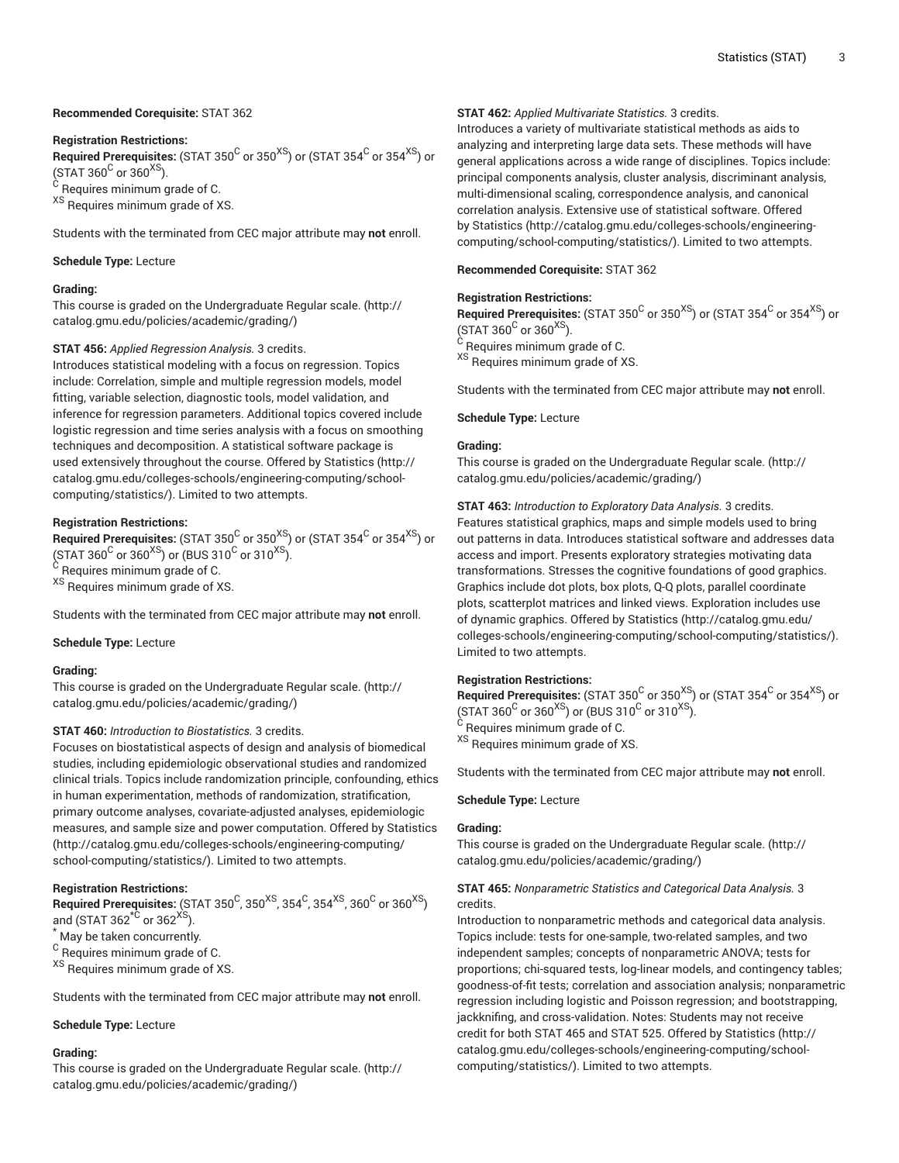# **Recommended Corequisite:** STAT 362

# **Registration Restrictions:**

 $\bf{Required\ Pre requires:}$  (STAT 350 $^{\rm C}$  or 350 $^{\rm XS}$ ) or (STAT 354 $^{\rm C}$  or 354 $^{\rm XS}$ ) or (STAT 360 $^{\circ}$  or 360 $^{\text{XS}}$ ).  $^{\rm C}$  Requires minimum grade of C.

XS Requires minimum grade of XS.

Students with the terminated from CEC major attribute may **not** enroll.

**Schedule Type:** Lecture

# **Grading:**

This course is graded on the [Undergraduate](http://catalog.gmu.edu/policies/academic/grading/) Regular scale. ([http://](http://catalog.gmu.edu/policies/academic/grading/) [catalog.gmu.edu/policies/academic/grading/\)](http://catalog.gmu.edu/policies/academic/grading/)

# **STAT 456:** *Applied Regression Analysis.* 3 credits.

Introduces statistical modeling with a focus on regression. Topics include: Correlation, simple and multiple regression models, model fitting, variable selection, diagnostic tools, model validation, and inference for regression parameters. Additional topics covered include logistic regression and time series analysis with a focus on smoothing techniques and decomposition. A statistical software package is used extensively throughout the course. Offered by [Statistics](http://catalog.gmu.edu/colleges-schools/engineering-computing/school-computing/statistics/) ([http://](http://catalog.gmu.edu/colleges-schools/engineering-computing/school-computing/statistics/) [catalog.gmu.edu/colleges-schools/engineering-computing/school](http://catalog.gmu.edu/colleges-schools/engineering-computing/school-computing/statistics/)[computing/statistics/\)](http://catalog.gmu.edu/colleges-schools/engineering-computing/school-computing/statistics/). Limited to two attempts.

# **Registration Restrictions:**

 $\bf{Required\ Pre requires:}$  (STAT 350 $^{\rm C}$  or 350 $^{\rm XS}$ ) or (STAT 354 $^{\rm C}$  or 354 $^{\rm XS}$ ) or (STAT 360 $^{\rm C}$  or 360 $^{\rm XS}$ ) or (BUS 310 $^{\rm C}$  or 310 $^{\rm XS}$ ).  $^{\rm C}$  Requires minimum grade of C. XS Requires minimum grade of XS.

Students with the terminated from CEC major attribute may **not** enroll.

**Schedule Type:** Lecture

# **Grading:**

This course is graded on the [Undergraduate](http://catalog.gmu.edu/policies/academic/grading/) Regular scale. ([http://](http://catalog.gmu.edu/policies/academic/grading/) [catalog.gmu.edu/policies/academic/grading/\)](http://catalog.gmu.edu/policies/academic/grading/)

# **STAT 460:** *Introduction to Biostatistics.* 3 credits.

Focuses on biostatistical aspects of design and analysis of biomedical studies, including epidemiologic observational studies and randomized clinical trials. Topics include randomization principle, confounding, ethics in human experimentation, methods of randomization, stratification, primary outcome analyses, covariate-adjusted analyses, epidemiologic measures, and sample size and power computation. Offered by [Statistics](http://catalog.gmu.edu/colleges-schools/engineering-computing/school-computing/statistics/) ([http://catalog.gmu.edu/colleges-schools/engineering-computing/](http://catalog.gmu.edu/colleges-schools/engineering-computing/school-computing/statistics/) [school-computing/statistics/](http://catalog.gmu.edu/colleges-schools/engineering-computing/school-computing/statistics/)). Limited to two attempts.

# **Registration Restrictions:**

 $\bf{Required\ Pre requires:}$  (STAT 350<sup>C</sup>, 350<sup>XS</sup>, 354<sup>C</sup>, 354<sup>XS</sup>, 360<sup>C</sup> or 360<sup>XS</sup>) and (STAT 362<sup>\*C</sup> or 362<sup>XS</sup>).

\* May be taken concurrently.

<sup>C</sup> Requires minimum grade of C.

XS Requires minimum grade of XS.

Students with the terminated from CEC major attribute may **not** enroll.

# **Schedule Type:** Lecture

# **Grading:**

This course is graded on the [Undergraduate](http://catalog.gmu.edu/policies/academic/grading/) Regular scale. ([http://](http://catalog.gmu.edu/policies/academic/grading/) [catalog.gmu.edu/policies/academic/grading/\)](http://catalog.gmu.edu/policies/academic/grading/)

# **STAT 462:** *Applied Multivariate Statistics.* 3 credits.

Introduces a variety of multivariate statistical methods as aids to analyzing and interpreting large data sets. These methods will have general applications across a wide range of disciplines. Topics include: principal components analysis, cluster analysis, discriminant analysis, multi-dimensional scaling, correspondence analysis, and canonical correlation analysis. Extensive use of statistical software. Offered by [Statistics](http://catalog.gmu.edu/colleges-schools/engineering-computing/school-computing/statistics/) ([http://catalog.gmu.edu/colleges-schools/engineering](http://catalog.gmu.edu/colleges-schools/engineering-computing/school-computing/statistics/)[computing/school-computing/statistics/](http://catalog.gmu.edu/colleges-schools/engineering-computing/school-computing/statistics/)). Limited to two attempts.

## **Recommended Corequisite:** STAT 362

# **Registration Restrictions:**

 $\bf{Required\ Pre requires:}$  (STAT 350 $^{\rm C}$  or 350 $^{\rm XS}$ ) or (STAT 354 $^{\rm C}$  or 354 $^{\rm XS}$ ) or (STAT 360 $^{\circ}$  or 360 $^{\text{XS}}$ ).  $^{\rm C}$  Requires minimum grade of C.

XS Requires minimum grade of XS.

Students with the terminated from CEC major attribute may **not** enroll.

# **Schedule Type:** Lecture

# **Grading:**

This course is graded on the [Undergraduate](http://catalog.gmu.edu/policies/academic/grading/) Regular scale. ([http://](http://catalog.gmu.edu/policies/academic/grading/) [catalog.gmu.edu/policies/academic/grading/](http://catalog.gmu.edu/policies/academic/grading/))

**STAT 463:** *Introduction to Exploratory Data Analysis.* 3 credits. Features statistical graphics, maps and simple models used to bring out patterns in data. Introduces statistical software and addresses data access and import. Presents exploratory strategies motivating data transformations. Stresses the cognitive foundations of good graphics. Graphics include dot plots, box plots, Q-Q plots, parallel coordinate plots, scatterplot matrices and linked views. Exploration includes use of dynamic graphics. Offered by [Statistics](http://catalog.gmu.edu/colleges-schools/engineering-computing/school-computing/statistics/) ([http://catalog.gmu.edu/](http://catalog.gmu.edu/colleges-schools/engineering-computing/school-computing/statistics/) [colleges-schools/engineering-computing/school-computing/statistics/\)](http://catalog.gmu.edu/colleges-schools/engineering-computing/school-computing/statistics/). Limited to two attempts.

# **Registration Restrictions:**

 $\bf{Required\ Pre requires:}$  (STAT 350 $^{\rm C}$  or 350 $^{\rm XS}$ ) or (STAT 354 $^{\rm C}$  or 354 $^{\rm XS}$ ) or (STAT 360 $^{\rm C}$  or 360 $^{\rm XS}$ ) or (BUS 310 $^{\rm C}$  or 310 $^{\rm XS}$ ).  $^{\rm C}$  Requires minimum grade of C. XS Requires minimum grade of XS.

Students with the terminated from CEC major attribute may **not** enroll.

# **Schedule Type:** Lecture

# **Grading:**

This course is graded on the [Undergraduate](http://catalog.gmu.edu/policies/academic/grading/) Regular scale. ([http://](http://catalog.gmu.edu/policies/academic/grading/) [catalog.gmu.edu/policies/academic/grading/](http://catalog.gmu.edu/policies/academic/grading/))

# **STAT 465:** *Nonparametric Statistics and Categorical Data Analysis.* 3 credits.

Introduction to nonparametric methods and categorical data analysis. Topics include: tests for one-sample, two-related samples, and two independent samples; concepts of nonparametric ANOVA; tests for proportions; chi-squared tests, log-linear models, and contingency tables; goodness-of-fit tests; correlation and association analysis; nonparametric regression including logistic and Poisson regression; and bootstrapping, jackknifing, and cross-validation. Notes: Students may not receive credit for both STAT 465 and STAT 525. Offered by [Statistics](http://catalog.gmu.edu/colleges-schools/engineering-computing/school-computing/statistics/) ([http://](http://catalog.gmu.edu/colleges-schools/engineering-computing/school-computing/statistics/) [catalog.gmu.edu/colleges-schools/engineering-computing/school](http://catalog.gmu.edu/colleges-schools/engineering-computing/school-computing/statistics/)[computing/statistics/](http://catalog.gmu.edu/colleges-schools/engineering-computing/school-computing/statistics/)). Limited to two attempts.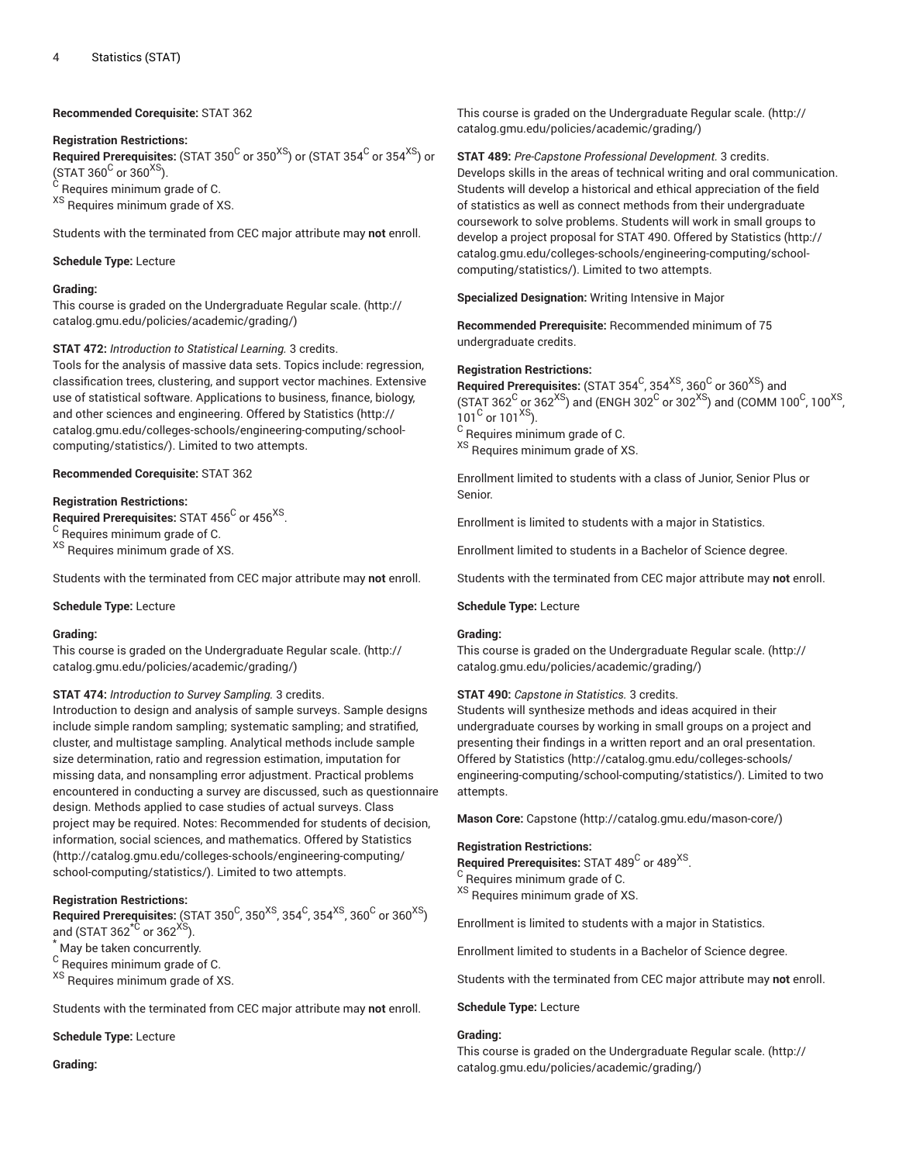# **Recommended Corequisite:** STAT 362

## **Registration Restrictions:**

 $\bf{Required\ Pre requires:}$  (STAT 350 $^{\rm C}$  or 350 $^{\rm XS}$ ) or (STAT 354 $^{\rm C}$  or 354 $^{\rm XS}$ ) or (STAT 360 $^{\circ}$  or 360 $^{\text{XS}}$ ).  $^{\rm C}$  Requires minimum grade of C. XS Requires minimum grade of XS.

Students with the terminated from CEC major attribute may **not** enroll.

**Schedule Type:** Lecture

#### **Grading:**

This course is graded on the [Undergraduate](http://catalog.gmu.edu/policies/academic/grading/) Regular scale. ([http://](http://catalog.gmu.edu/policies/academic/grading/) [catalog.gmu.edu/policies/academic/grading/\)](http://catalog.gmu.edu/policies/academic/grading/)

#### **STAT 472:** *Introduction to Statistical Learning.* 3 credits.

Tools for the analysis of massive data sets. Topics include: regression, classification trees, clustering, and support vector machines. Extensive use of statistical software. Applications to business, finance, biology, and other sciences and engineering. Offered by [Statistics](http://catalog.gmu.edu/colleges-schools/engineering-computing/school-computing/statistics/) ([http://](http://catalog.gmu.edu/colleges-schools/engineering-computing/school-computing/statistics/) [catalog.gmu.edu/colleges-schools/engineering-computing/school](http://catalog.gmu.edu/colleges-schools/engineering-computing/school-computing/statistics/)[computing/statistics/\)](http://catalog.gmu.edu/colleges-schools/engineering-computing/school-computing/statistics/). Limited to two attempts.

**Recommended Corequisite:** STAT 362

#### **Registration Restrictions:**

 $\bf{Required~Prerequires: }$  STAT 456 $^{\rm C}$  or 456 $^{\rm XS}$ . <sup>C</sup> Requires minimum grade of C.

XS Requires minimum grade of XS.

Students with the terminated from CEC major attribute may **not** enroll.

#### **Schedule Type:** Lecture

## **Grading:**

This course is graded on the [Undergraduate](http://catalog.gmu.edu/policies/academic/grading/) Regular scale. ([http://](http://catalog.gmu.edu/policies/academic/grading/) [catalog.gmu.edu/policies/academic/grading/\)](http://catalog.gmu.edu/policies/academic/grading/)

# **STAT 474:** *Introduction to Survey Sampling.* 3 credits.

Introduction to design and analysis of sample surveys. Sample designs include simple random sampling; systematic sampling; and stratified, cluster, and multistage sampling. Analytical methods include sample size determination, ratio and regression estimation, imputation for missing data, and nonsampling error adjustment. Practical problems encountered in conducting a survey are discussed, such as questionnaire design. Methods applied to case studies of actual surveys. Class project may be required. Notes: Recommended for students of decision, information, social sciences, and mathematics. Offered by [Statistics](http://catalog.gmu.edu/colleges-schools/engineering-computing/school-computing/statistics/) ([http://catalog.gmu.edu/colleges-schools/engineering-computing/](http://catalog.gmu.edu/colleges-schools/engineering-computing/school-computing/statistics/) [school-computing/statistics/](http://catalog.gmu.edu/colleges-schools/engineering-computing/school-computing/statistics/)). Limited to two attempts.

# **Registration Restrictions:**

 $\bf{Required\ Pre requires:}$  (STAT 350<sup>C</sup>, 350<sup>XS</sup>, 354<sup>C</sup>, 354<sup>XS</sup>, 360<sup>C</sup> or 360<sup>XS</sup>) and (STAT 362 $^{\star\text{\scriptsize C}}$  or 362 $^{\text{\scriptsize XS}}$ ).

May be taken concurrently.

<sup>C</sup> Requires minimum grade of C.

XS Requires minimum grade of XS.

Students with the terminated from CEC major attribute may **not** enroll.

**Schedule Type:** Lecture

**Grading:**

This course is graded on the [Undergraduate](http://catalog.gmu.edu/policies/academic/grading/) Regular scale. ([http://](http://catalog.gmu.edu/policies/academic/grading/) [catalog.gmu.edu/policies/academic/grading/](http://catalog.gmu.edu/policies/academic/grading/))

**STAT 489:** *Pre-Capstone Professional Development.* 3 credits.

Develops skills in the areas of technical writing and oral communication. Students will develop a historical and ethical appreciation of the field of statistics as well as connect methods from their undergraduate coursework to solve problems. Students will work in small groups to develop a project proposal for STAT 490. Offered by [Statistics](http://catalog.gmu.edu/colleges-schools/engineering-computing/school-computing/statistics/) ([http://](http://catalog.gmu.edu/colleges-schools/engineering-computing/school-computing/statistics/) [catalog.gmu.edu/colleges-schools/engineering-computing/school](http://catalog.gmu.edu/colleges-schools/engineering-computing/school-computing/statistics/)[computing/statistics/](http://catalog.gmu.edu/colleges-schools/engineering-computing/school-computing/statistics/)). Limited to two attempts.

**Specialized Designation:** Writing Intensive in Major

**Recommended Prerequisite:** Recommended minimum of 75 undergraduate credits.

#### **Registration Restrictions:**

 $\,$  Required Prerequisites: (STAT 354 $^{\rm C}$ , 354 $^{\rm XS}$ , 360 $^{\rm C}$  or 360 $^{\rm XS}$ ) and (STAT 362 $^{\rm C}$  or 362 $^{\rm XS}$ ) and (ENGH 302 $^{\rm C}$  or 302 $^{\rm XS}$ ) and (COMM 100 $^{\rm C}$ , 100 $^{\rm XS}$ ,  $101^{\circ}$  or 101<sup>XS</sup>).  $^{\rm C}$  Requires minimum grade of C.

XS Requires minimum grade of XS.

Enrollment limited to students with a class of Junior, Senior Plus or Senior.

Enrollment is limited to students with a major in Statistics.

Enrollment limited to students in a Bachelor of Science degree.

Students with the terminated from CEC major attribute may **not** enroll.

#### **Schedule Type:** Lecture

#### **Grading:**

This course is graded on the [Undergraduate](http://catalog.gmu.edu/policies/academic/grading/) Regular scale. ([http://](http://catalog.gmu.edu/policies/academic/grading/) [catalog.gmu.edu/policies/academic/grading/](http://catalog.gmu.edu/policies/academic/grading/))

**STAT 490:** *Capstone in Statistics.* 3 credits.

Students will synthesize methods and ideas acquired in their undergraduate courses by working in small groups on a project and presenting their findings in a written report and an oral presentation. Offered by [Statistics \(http://catalog.gmu.edu/colleges-schools/](http://catalog.gmu.edu/colleges-schools/engineering-computing/school-computing/statistics/) [engineering-computing/school-computing/statistics/\)](http://catalog.gmu.edu/colleges-schools/engineering-computing/school-computing/statistics/). Limited to two attempts.

**Mason Core:** [Capstone](http://catalog.gmu.edu/mason-core/) ([http://catalog.gmu.edu/mason-core/\)](http://catalog.gmu.edu/mason-core/)

#### **Registration Restrictions:**

**Required Prerequisites:** STAT 489<sup>C</sup> or 489<sup>XS</sup>.

 $\rm ^C$  Requires minimum grade of C.

<sup>XS</sup> Requires minimum grade of XS.

Enrollment is limited to students with a major in Statistics.

Enrollment limited to students in a Bachelor of Science degree.

Students with the terminated from CEC major attribute may **not** enroll.

**Schedule Type:** Lecture

## **Grading:**

This course is graded on the [Undergraduate](http://catalog.gmu.edu/policies/academic/grading/) Regular scale. ([http://](http://catalog.gmu.edu/policies/academic/grading/) [catalog.gmu.edu/policies/academic/grading/](http://catalog.gmu.edu/policies/academic/grading/))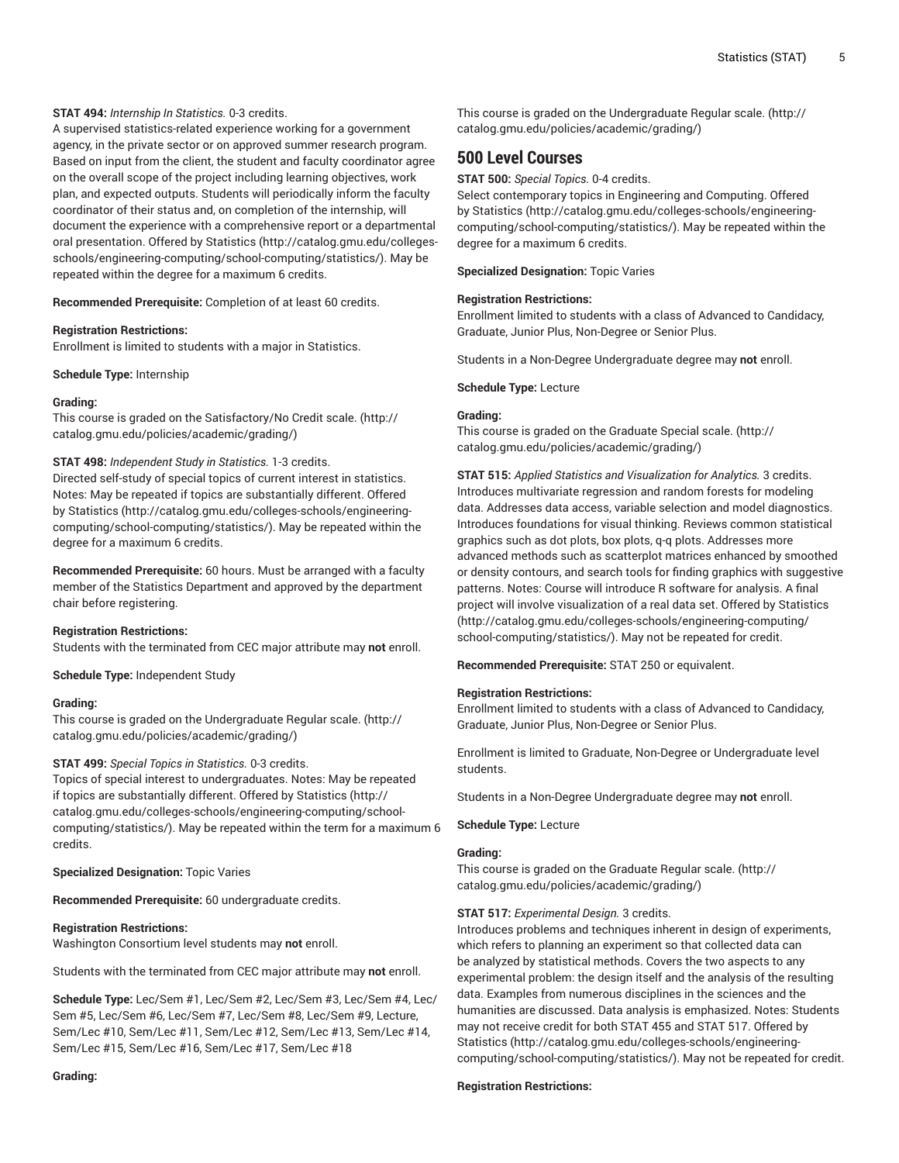# **STAT 494:** *Internship In Statistics.* 0-3 credits.

A supervised statistics-related experience working for a government agency, in the private sector or on approved summer research program. Based on input from the client, the student and faculty coordinator agree on the overall scope of the project including learning objectives, work plan, and expected outputs. Students will periodically inform the faculty coordinator of their status and, on completion of the internship, will document the experience with a comprehensive report or a departmental oral presentation. Offered by [Statistics](http://catalog.gmu.edu/colleges-schools/engineering-computing/school-computing/statistics/) [\(http://catalog.gmu.edu/colleges](http://catalog.gmu.edu/colleges-schools/engineering-computing/school-computing/statistics/)[schools/engineering-computing/school-computing/statistics/\)](http://catalog.gmu.edu/colleges-schools/engineering-computing/school-computing/statistics/). May be repeated within the degree for a maximum 6 credits.

**Recommended Prerequisite:** Completion of at least 60 credits.

#### **Registration Restrictions:**

Enrollment is limited to students with a major in Statistics.

**Schedule Type:** Internship

#### **Grading:**

This course is graded on the [Satisfactory/No](http://catalog.gmu.edu/policies/academic/grading/) Credit scale. ([http://](http://catalog.gmu.edu/policies/academic/grading/) [catalog.gmu.edu/policies/academic/grading/\)](http://catalog.gmu.edu/policies/academic/grading/)

#### **STAT 498:** *Independent Study in Statistics.* 1-3 credits.

Directed self-study of special topics of current interest in statistics. Notes: May be repeated if topics are substantially different. Offered by [Statistics \(http://catalog.gmu.edu/colleges-schools/engineering](http://catalog.gmu.edu/colleges-schools/engineering-computing/school-computing/statistics/)[computing/school-computing/statistics/](http://catalog.gmu.edu/colleges-schools/engineering-computing/school-computing/statistics/)). May be repeated within the degree for a maximum 6 credits.

**Recommended Prerequisite:** 60 hours. Must be arranged with a faculty member of the Statistics Department and approved by the department chair before registering.

## **Registration Restrictions:**

Students with the terminated from CEC major attribute may **not** enroll.

**Schedule Type:** Independent Study

#### **Grading:**

This course is graded on the [Undergraduate](http://catalog.gmu.edu/policies/academic/grading/) Regular scale. ([http://](http://catalog.gmu.edu/policies/academic/grading/) [catalog.gmu.edu/policies/academic/grading/\)](http://catalog.gmu.edu/policies/academic/grading/)

#### **STAT 499:** *Special Topics in Statistics.* 0-3 credits.

Topics of special interest to undergraduates. Notes: May be repeated if topics are substantially different. Offered by [Statistics](http://catalog.gmu.edu/colleges-schools/engineering-computing/school-computing/statistics/) [\(http://](http://catalog.gmu.edu/colleges-schools/engineering-computing/school-computing/statistics/) [catalog.gmu.edu/colleges-schools/engineering-computing/school](http://catalog.gmu.edu/colleges-schools/engineering-computing/school-computing/statistics/)[computing/statistics/\)](http://catalog.gmu.edu/colleges-schools/engineering-computing/school-computing/statistics/). May be repeated within the term for a maximum 6 credits.

**Specialized Designation:** Topic Varies

**Recommended Prerequisite:** 60 undergraduate credits.

#### **Registration Restrictions:**

Washington Consortium level students may **not** enroll.

Students with the terminated from CEC major attribute may **not** enroll.

**Schedule Type:** Lec/Sem #1, Lec/Sem #2, Lec/Sem #3, Lec/Sem #4, Lec/ Sem #5, Lec/Sem #6, Lec/Sem #7, Lec/Sem #8, Lec/Sem #9, Lecture, Sem/Lec #10, Sem/Lec #11, Sem/Lec #12, Sem/Lec #13, Sem/Lec #14, Sem/Lec #15, Sem/Lec #16, Sem/Lec #17, Sem/Lec #18

This course is graded on the [Undergraduate](http://catalog.gmu.edu/policies/academic/grading/) Regular scale. ([http://](http://catalog.gmu.edu/policies/academic/grading/) [catalog.gmu.edu/policies/academic/grading/](http://catalog.gmu.edu/policies/academic/grading/))

# **500 Level Courses**

**STAT 500:** *Special Topics.* 0-4 credits.

Select contemporary topics in Engineering and Computing. Offered by [Statistics](http://catalog.gmu.edu/colleges-schools/engineering-computing/school-computing/statistics/) ([http://catalog.gmu.edu/colleges-schools/engineering](http://catalog.gmu.edu/colleges-schools/engineering-computing/school-computing/statistics/)[computing/school-computing/statistics/](http://catalog.gmu.edu/colleges-schools/engineering-computing/school-computing/statistics/)). May be repeated within the degree for a maximum 6 credits.

**Specialized Designation:** Topic Varies

#### **Registration Restrictions:**

Enrollment limited to students with a class of Advanced to Candidacy, Graduate, Junior Plus, Non-Degree or Senior Plus.

Students in a Non-Degree Undergraduate degree may **not** enroll.

## **Schedule Type:** Lecture

# **Grading:**

This course is graded on the [Graduate Special scale. \(http://](http://catalog.gmu.edu/policies/academic/grading/) [catalog.gmu.edu/policies/academic/grading/](http://catalog.gmu.edu/policies/academic/grading/))

**STAT 515:** *Applied Statistics and Visualization for Analytics.* 3 credits. Introduces multivariate regression and random forests for modeling data. Addresses data access, variable selection and model diagnostics. Introduces foundations for visual thinking. Reviews common statistical graphics such as dot plots, box plots, q-q plots. Addresses more advanced methods such as scatterplot matrices enhanced by smoothed or density contours, and search tools for finding graphics with suggestive patterns. Notes: Course will introduce R software for analysis. A final project will involve visualization of a real data set. Offered by [Statistics](http://catalog.gmu.edu/colleges-schools/engineering-computing/school-computing/statistics/) [\(http://catalog.gmu.edu/colleges-schools/engineering-computing/](http://catalog.gmu.edu/colleges-schools/engineering-computing/school-computing/statistics/) [school-computing/statistics/](http://catalog.gmu.edu/colleges-schools/engineering-computing/school-computing/statistics/)). May not be repeated for credit.

**Recommended Prerequisite:** STAT 250 or equivalent.

# **Registration Restrictions:**

Enrollment limited to students with a class of Advanced to Candidacy, Graduate, Junior Plus, Non-Degree or Senior Plus.

Enrollment is limited to Graduate, Non-Degree or Undergraduate level students.

Students in a Non-Degree Undergraduate degree may **not** enroll.

**Schedule Type:** Lecture

# **Grading:**

This course is graded on the [Graduate Regular scale.](http://catalog.gmu.edu/policies/academic/grading/) ([http://](http://catalog.gmu.edu/policies/academic/grading/) [catalog.gmu.edu/policies/academic/grading/](http://catalog.gmu.edu/policies/academic/grading/))

#### **STAT 517:** *Experimental Design.* 3 credits.

Introduces problems and techniques inherent in design of experiments, which refers to planning an experiment so that collected data can be analyzed by statistical methods. Covers the two aspects to any experimental problem: the design itself and the analysis of the resulting data. Examples from numerous disciplines in the sciences and the humanities are discussed. Data analysis is emphasized. Notes: Students may not receive credit for both STAT 455 and STAT 517. Offered by [Statistics \(http://catalog.gmu.edu/colleges-schools/engineering](http://catalog.gmu.edu/colleges-schools/engineering-computing/school-computing/statistics/)[computing/school-computing/statistics/](http://catalog.gmu.edu/colleges-schools/engineering-computing/school-computing/statistics/)). May not be repeated for credit.

# **Registration Restrictions:**

# **Grading:**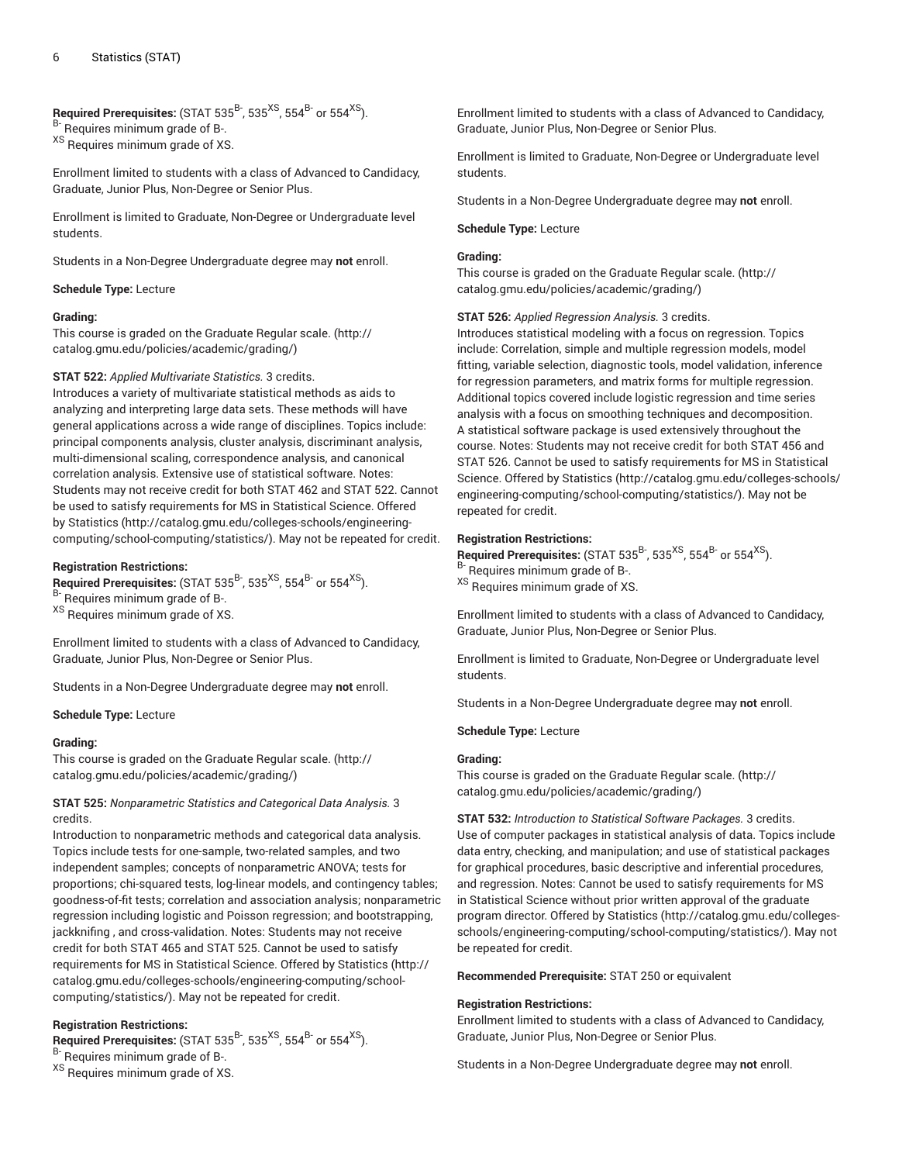# $\,$  Required Prerequisites: (STAT 535 $^{\rm B}$ , 535 $^{\rm X S}$ , 554 $^{\rm B}$  or 554 $^{\rm X S}$ ).

B- Requires minimum grade of B-.

XS Requires minimum grade of XS.

Enrollment limited to students with a class of Advanced to Candidacy, Graduate, Junior Plus, Non-Degree or Senior Plus.

Enrollment is limited to Graduate, Non-Degree or Undergraduate level students.

Students in a Non-Degree Undergraduate degree may **not** enroll.

#### **Schedule Type:** Lecture

#### **Grading:**

This course is graded on the [Graduate Regular scale.](http://catalog.gmu.edu/policies/academic/grading/) [\(http://](http://catalog.gmu.edu/policies/academic/grading/) [catalog.gmu.edu/policies/academic/grading/\)](http://catalog.gmu.edu/policies/academic/grading/)

## **STAT 522:** *Applied Multivariate Statistics.* 3 credits.

Introduces a variety of multivariate statistical methods as aids to analyzing and interpreting large data sets. These methods will have general applications across a wide range of disciplines. Topics include: principal components analysis, cluster analysis, discriminant analysis, multi-dimensional scaling, correspondence analysis, and canonical correlation analysis. Extensive use of statistical software. Notes: Students may not receive credit for both STAT 462 and STAT 522. Cannot be used to satisfy requirements for MS in Statistical Science. Offered by [Statistics \(http://catalog.gmu.edu/colleges-schools/engineering](http://catalog.gmu.edu/colleges-schools/engineering-computing/school-computing/statistics/)[computing/school-computing/statistics/](http://catalog.gmu.edu/colleges-schools/engineering-computing/school-computing/statistics/)). May not be repeated for credit.

## **Registration Restrictions:**

 $\,$  Required Prerequisites: (STAT 535 $^{\rm B}$ , 535 $^{\rm X S}$ , 554 $^{\rm B}$  or 554 $^{\rm X S}$ ).

B- Requires minimum grade of B-.

XS Requires minimum grade of XS.

Enrollment limited to students with a class of Advanced to Candidacy, Graduate, Junior Plus, Non-Degree or Senior Plus.

Students in a Non-Degree Undergraduate degree may **not** enroll.

**Schedule Type:** Lecture

#### **Grading:**

This course is graded on the [Graduate Regular scale.](http://catalog.gmu.edu/policies/academic/grading/) [\(http://](http://catalog.gmu.edu/policies/academic/grading/) [catalog.gmu.edu/policies/academic/grading/\)](http://catalog.gmu.edu/policies/academic/grading/)

# **STAT 525:** *Nonparametric Statistics and Categorical Data Analysis.* 3 credits.

Introduction to nonparametric methods and categorical data analysis. Topics include tests for one-sample, two-related samples, and two independent samples; concepts of nonparametric ANOVA; tests for proportions; chi-squared tests, log-linear models, and contingency tables; goodness-of-fit tests; correlation and association analysis; nonparametric regression including logistic and Poisson regression; and bootstrapping, jackknifing , and cross-validation. Notes: Students may not receive credit for both STAT 465 and STAT 525. Cannot be used to satisfy requirements for MS in Statistical Science. Offered by [Statistics](http://catalog.gmu.edu/colleges-schools/engineering-computing/school-computing/statistics/) [\(http://](http://catalog.gmu.edu/colleges-schools/engineering-computing/school-computing/statistics/) [catalog.gmu.edu/colleges-schools/engineering-computing/school](http://catalog.gmu.edu/colleges-schools/engineering-computing/school-computing/statistics/)[computing/statistics/\)](http://catalog.gmu.edu/colleges-schools/engineering-computing/school-computing/statistics/). May not be repeated for credit.

# **Registration Restrictions:**

 $\,$  Required Prerequisites: (STAT 535 $^{\rm B}$ , 535 $^{\rm X S}$ , 554 $^{\rm B}$  or 554 $^{\rm X S}$ ). Requires minimum grade of B-. XS Requires minimum grade of XS.

Enrollment limited to students with a class of Advanced to Candidacy, Graduate, Junior Plus, Non-Degree or Senior Plus.

Enrollment is limited to Graduate, Non-Degree or Undergraduate level students.

Students in a Non-Degree Undergraduate degree may **not** enroll.

#### **Schedule Type:** Lecture

# **Grading:**

This course is graded on the [Graduate Regular scale.](http://catalog.gmu.edu/policies/academic/grading/) ([http://](http://catalog.gmu.edu/policies/academic/grading/) [catalog.gmu.edu/policies/academic/grading/](http://catalog.gmu.edu/policies/academic/grading/))

#### **STAT 526:** *Applied Regression Analysis.* 3 credits.

Introduces statistical modeling with a focus on regression. Topics include: Correlation, simple and multiple regression models, model fitting, variable selection, diagnostic tools, model validation, inference for regression parameters, and matrix forms for multiple regression. Additional topics covered include logistic regression and time series analysis with a focus on smoothing techniques and decomposition. A statistical software package is used extensively throughout the course. Notes: Students may not receive credit for both STAT 456 and STAT 526. Cannot be used to satisfy requirements for MS in Statistical Science. Offered by [Statistics](http://catalog.gmu.edu/colleges-schools/engineering-computing/school-computing/statistics/) ([http://catalog.gmu.edu/colleges-schools/](http://catalog.gmu.edu/colleges-schools/engineering-computing/school-computing/statistics/) [engineering-computing/school-computing/statistics/\)](http://catalog.gmu.edu/colleges-schools/engineering-computing/school-computing/statistics/). May not be repeated for credit.

# **Registration Restrictions:**

 $\,$  Required Prerequisites: (STAT 535 $^{\rm B}$ , 535 $^{\rm X S}$ , 554 $^{\rm B}$  or 554 $^{\rm X S}$ ). B-Requires minimum grade of B-. XS Requires minimum grade of XS.

Enrollment limited to students with a class of Advanced to Candidacy, Graduate, Junior Plus, Non-Degree or Senior Plus.

Enrollment is limited to Graduate, Non-Degree or Undergraduate level students.

Students in a Non-Degree Undergraduate degree may **not** enroll.

#### **Schedule Type:** Lecture

# **Grading:**

This course is graded on the [Graduate Regular scale.](http://catalog.gmu.edu/policies/academic/grading/) ([http://](http://catalog.gmu.edu/policies/academic/grading/) [catalog.gmu.edu/policies/academic/grading/](http://catalog.gmu.edu/policies/academic/grading/))

**STAT 532:** *Introduction to Statistical Software Packages.* 3 credits. Use of computer packages in statistical analysis of data. Topics include data entry, checking, and manipulation; and use of statistical packages for graphical procedures, basic descriptive and inferential procedures, and regression. Notes: Cannot be used to satisfy requirements for MS in Statistical Science without prior written approval of the graduate program director. Offered by [Statistics](http://catalog.gmu.edu/colleges-schools/engineering-computing/school-computing/statistics/) ([http://catalog.gmu.edu/colleges](http://catalog.gmu.edu/colleges-schools/engineering-computing/school-computing/statistics/)[schools/engineering-computing/school-computing/statistics/](http://catalog.gmu.edu/colleges-schools/engineering-computing/school-computing/statistics/)). May not be repeated for credit.

**Recommended Prerequisite:** STAT 250 or equivalent

#### **Registration Restrictions:**

Enrollment limited to students with a class of Advanced to Candidacy, Graduate, Junior Plus, Non-Degree or Senior Plus.

Students in a Non-Degree Undergraduate degree may **not** enroll.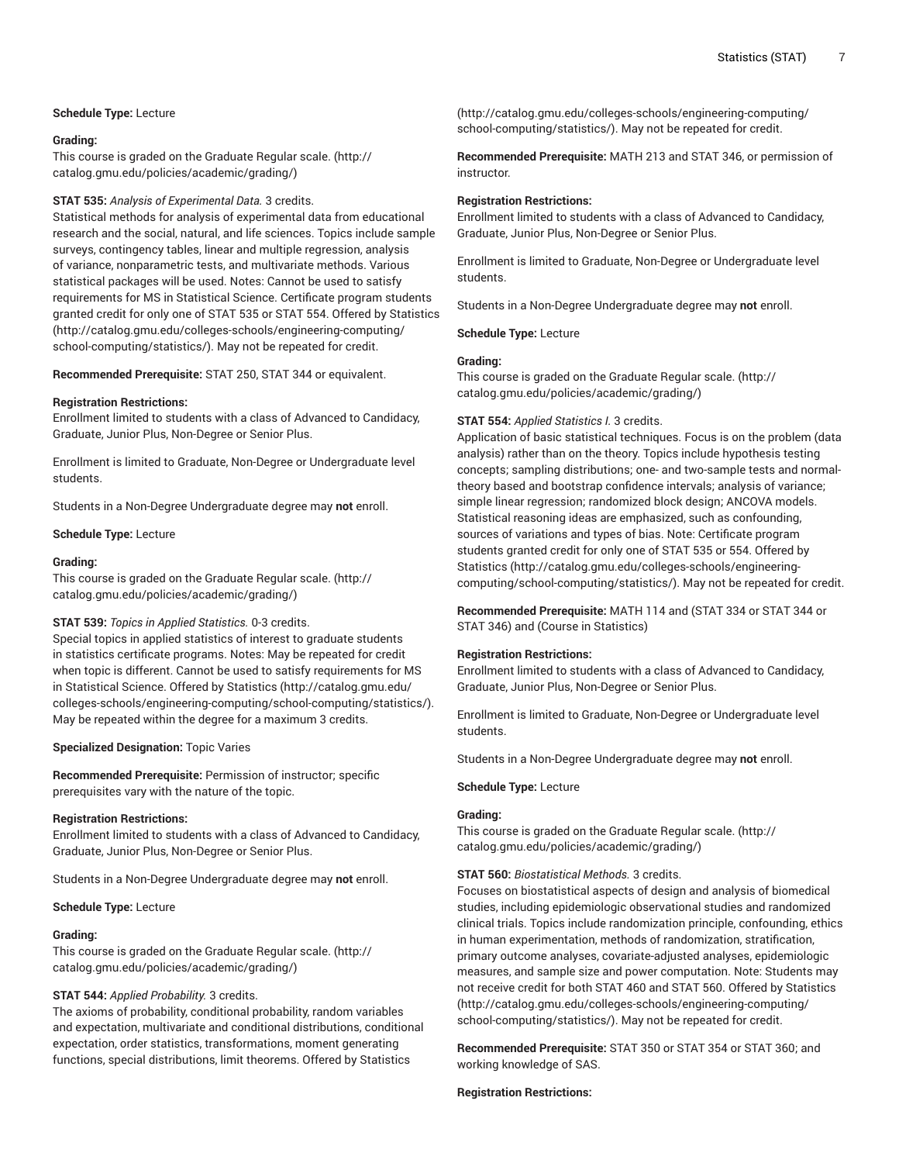## **Schedule Type:** Lecture

#### **Grading:**

This course is graded on the [Graduate Regular scale.](http://catalog.gmu.edu/policies/academic/grading/) [\(http://](http://catalog.gmu.edu/policies/academic/grading/) [catalog.gmu.edu/policies/academic/grading/\)](http://catalog.gmu.edu/policies/academic/grading/)

#### **STAT 535:** *Analysis of Experimental Data.* 3 credits.

Statistical methods for analysis of experimental data from educational research and the social, natural, and life sciences. Topics include sample surveys, contingency tables, linear and multiple regression, analysis of variance, nonparametric tests, and multivariate methods. Various statistical packages will be used. Notes: Cannot be used to satisfy requirements for MS in Statistical Science. Certificate program students granted credit for only one of STAT 535 or STAT 554. Offered by [Statistics](http://catalog.gmu.edu/colleges-schools/engineering-computing/school-computing/statistics/) ([http://catalog.gmu.edu/colleges-schools/engineering-computing/](http://catalog.gmu.edu/colleges-schools/engineering-computing/school-computing/statistics/) [school-computing/statistics/](http://catalog.gmu.edu/colleges-schools/engineering-computing/school-computing/statistics/)). May not be repeated for credit.

#### **Recommended Prerequisite:** STAT 250, STAT 344 or equivalent.

#### **Registration Restrictions:**

Enrollment limited to students with a class of Advanced to Candidacy, Graduate, Junior Plus, Non-Degree or Senior Plus.

Enrollment is limited to Graduate, Non-Degree or Undergraduate level students.

Students in a Non-Degree Undergraduate degree may **not** enroll.

**Schedule Type:** Lecture

#### **Grading:**

This course is graded on the [Graduate Regular scale.](http://catalog.gmu.edu/policies/academic/grading/) [\(http://](http://catalog.gmu.edu/policies/academic/grading/) [catalog.gmu.edu/policies/academic/grading/\)](http://catalog.gmu.edu/policies/academic/grading/)

#### **STAT 539:** *Topics in Applied Statistics.* 0-3 credits.

Special topics in applied statistics of interest to graduate students in statistics certificate programs. Notes: May be repeated for credit when topic is different. Cannot be used to satisfy requirements for MS in Statistical Science. Offered by [Statistics](http://catalog.gmu.edu/colleges-schools/engineering-computing/school-computing/statistics/) ([http://catalog.gmu.edu/](http://catalog.gmu.edu/colleges-schools/engineering-computing/school-computing/statistics/) [colleges-schools/engineering-computing/school-computing/statistics/](http://catalog.gmu.edu/colleges-schools/engineering-computing/school-computing/statistics/)). May be repeated within the degree for a maximum 3 credits.

**Specialized Designation:** Topic Varies

**Recommended Prerequisite:** Permission of instructor; specific prerequisites vary with the nature of the topic.

#### **Registration Restrictions:**

Enrollment limited to students with a class of Advanced to Candidacy, Graduate, Junior Plus, Non-Degree or Senior Plus.

Students in a Non-Degree Undergraduate degree may **not** enroll.

#### **Schedule Type:** Lecture

# **Grading:**

This course is graded on the [Graduate Regular scale.](http://catalog.gmu.edu/policies/academic/grading/) [\(http://](http://catalog.gmu.edu/policies/academic/grading/) [catalog.gmu.edu/policies/academic/grading/\)](http://catalog.gmu.edu/policies/academic/grading/)

#### **STAT 544:** *Applied Probability.* 3 credits.

The axioms of probability, conditional probability, random variables and expectation, multivariate and conditional distributions, conditional expectation, order statistics, transformations, moment generating functions, special distributions, limit theorems. Offered by [Statistics](http://catalog.gmu.edu/colleges-schools/engineering-computing/school-computing/statistics/)

[\(http://catalog.gmu.edu/colleges-schools/engineering-computing/](http://catalog.gmu.edu/colleges-schools/engineering-computing/school-computing/statistics/) [school-computing/statistics/](http://catalog.gmu.edu/colleges-schools/engineering-computing/school-computing/statistics/)). May not be repeated for credit.

**Recommended Prerequisite:** MATH 213 and STAT 346, or permission of instructor.

#### **Registration Restrictions:**

Enrollment limited to students with a class of Advanced to Candidacy, Graduate, Junior Plus, Non-Degree or Senior Plus.

Enrollment is limited to Graduate, Non-Degree or Undergraduate level students.

Students in a Non-Degree Undergraduate degree may **not** enroll.

**Schedule Type:** Lecture

# **Grading:**

This course is graded on the [Graduate Regular scale.](http://catalog.gmu.edu/policies/academic/grading/) ([http://](http://catalog.gmu.edu/policies/academic/grading/) [catalog.gmu.edu/policies/academic/grading/](http://catalog.gmu.edu/policies/academic/grading/))

#### **STAT 554:** *Applied Statistics I.* 3 credits.

Application of basic statistical techniques. Focus is on the problem (data analysis) rather than on the theory. Topics include hypothesis testing concepts; sampling distributions; one- and two-sample tests and normaltheory based and bootstrap confidence intervals; analysis of variance; simple linear regression; randomized block design; ANCOVA models. Statistical reasoning ideas are emphasized, such as confounding, sources of variations and types of bias. Note: Certificate program students granted credit for only one of STAT 535 or 554. Offered by [Statistics \(http://catalog.gmu.edu/colleges-schools/engineering](http://catalog.gmu.edu/colleges-schools/engineering-computing/school-computing/statistics/)[computing/school-computing/statistics/](http://catalog.gmu.edu/colleges-schools/engineering-computing/school-computing/statistics/)). May not be repeated for credit.

**Recommended Prerequisite:** MATH 114 and (STAT 334 or STAT 344 or STAT 346) and (Course in Statistics)

#### **Registration Restrictions:**

Enrollment limited to students with a class of Advanced to Candidacy, Graduate, Junior Plus, Non-Degree or Senior Plus.

Enrollment is limited to Graduate, Non-Degree or Undergraduate level students.

Students in a Non-Degree Undergraduate degree may **not** enroll.

#### **Schedule Type:** Lecture

# **Grading:**

This course is graded on the [Graduate Regular scale.](http://catalog.gmu.edu/policies/academic/grading/) ([http://](http://catalog.gmu.edu/policies/academic/grading/) [catalog.gmu.edu/policies/academic/grading/](http://catalog.gmu.edu/policies/academic/grading/))

#### **STAT 560:** *Biostatistical Methods.* 3 credits.

Focuses on biostatistical aspects of design and analysis of biomedical studies, including epidemiologic observational studies and randomized clinical trials. Topics include randomization principle, confounding, ethics in human experimentation, methods of randomization, stratification, primary outcome analyses, covariate-adjusted analyses, epidemiologic measures, and sample size and power computation. Note: Students may not receive credit for both STAT 460 and STAT 560. Offered by [Statistics](http://catalog.gmu.edu/colleges-schools/engineering-computing/school-computing/statistics/) [\(http://catalog.gmu.edu/colleges-schools/engineering-computing/](http://catalog.gmu.edu/colleges-schools/engineering-computing/school-computing/statistics/) [school-computing/statistics/](http://catalog.gmu.edu/colleges-schools/engineering-computing/school-computing/statistics/)). May not be repeated for credit.

**Recommended Prerequisite:** STAT 350 or STAT 354 or STAT 360; and working knowledge of SAS.

#### **Registration Restrictions:**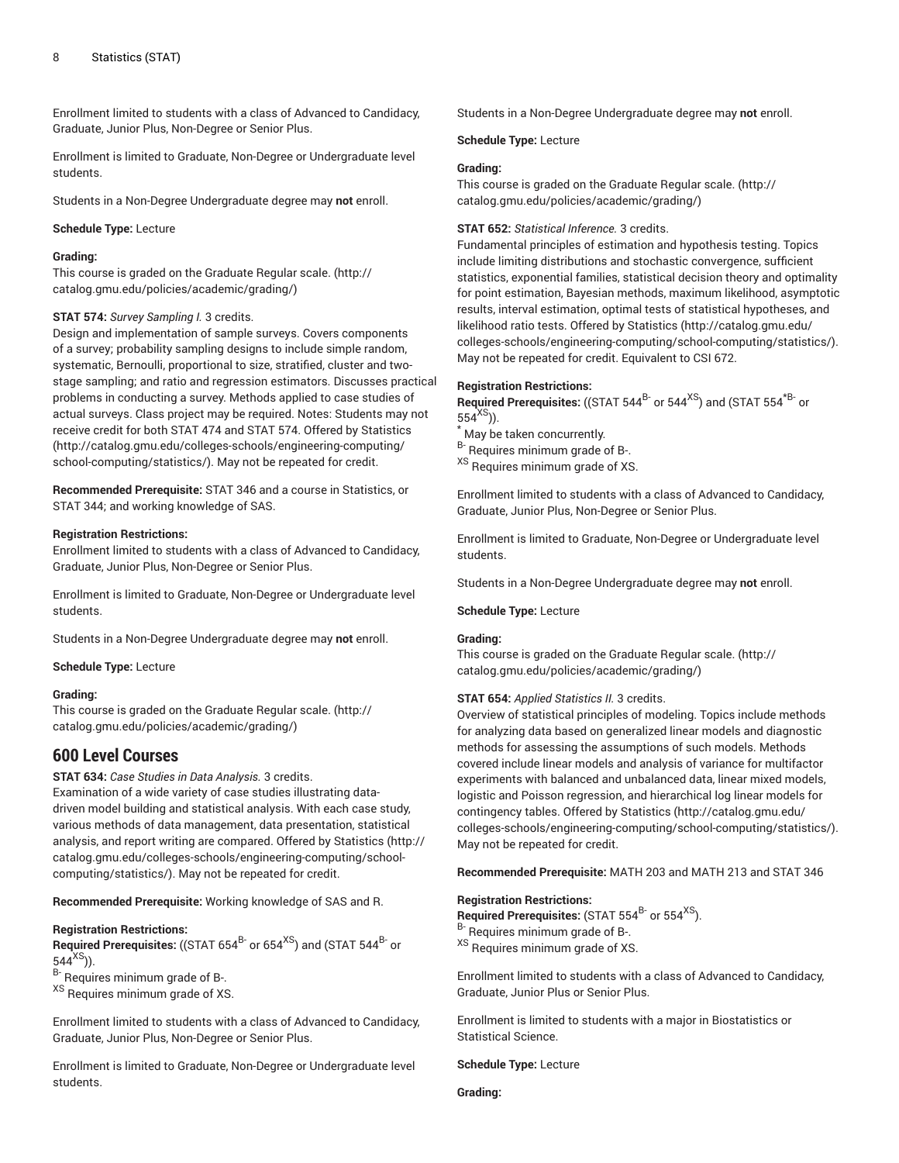Enrollment limited to students with a class of Advanced to Candidacy, Graduate, Junior Plus, Non-Degree or Senior Plus.

Enrollment is limited to Graduate, Non-Degree or Undergraduate level students.

Students in a Non-Degree Undergraduate degree may **not** enroll.

#### **Schedule Type:** Lecture

# **Grading:**

This course is graded on the [Graduate Regular scale.](http://catalog.gmu.edu/policies/academic/grading/) [\(http://](http://catalog.gmu.edu/policies/academic/grading/) [catalog.gmu.edu/policies/academic/grading/\)](http://catalog.gmu.edu/policies/academic/grading/)

#### **STAT 574:** *Survey Sampling I.* 3 credits.

Design and implementation of sample surveys. Covers components of a survey; probability sampling designs to include simple random, systematic, Bernoulli, proportional to size, stratified, cluster and twostage sampling; and ratio and regression estimators. Discusses practical problems in conducting a survey. Methods applied to case studies of actual surveys. Class project may be required. Notes: Students may not receive credit for both STAT 474 and STAT 574. Offered by [Statistics](http://catalog.gmu.edu/colleges-schools/engineering-computing/school-computing/statistics/) ([http://catalog.gmu.edu/colleges-schools/engineering-computing/](http://catalog.gmu.edu/colleges-schools/engineering-computing/school-computing/statistics/) [school-computing/statistics/](http://catalog.gmu.edu/colleges-schools/engineering-computing/school-computing/statistics/)). May not be repeated for credit.

**Recommended Prerequisite:** STAT 346 and a course in Statistics, or STAT 344; and working knowledge of SAS.

#### **Registration Restrictions:**

Enrollment limited to students with a class of Advanced to Candidacy, Graduate, Junior Plus, Non-Degree or Senior Plus.

Enrollment is limited to Graduate, Non-Degree or Undergraduate level students.

Students in a Non-Degree Undergraduate degree may **not** enroll.

**Schedule Type:** Lecture

#### **Grading:**

This course is graded on the [Graduate Regular scale.](http://catalog.gmu.edu/policies/academic/grading/) [\(http://](http://catalog.gmu.edu/policies/academic/grading/) [catalog.gmu.edu/policies/academic/grading/\)](http://catalog.gmu.edu/policies/academic/grading/)

# **600 Level Courses**

# **STAT 634:** *Case Studies in Data Analysis.* 3 credits.

Examination of a wide variety of case studies illustrating datadriven model building and statistical analysis. With each case study, various methods of data management, data presentation, statistical analysis, and report writing are compared. Offered by [Statistics \(http://](http://catalog.gmu.edu/colleges-schools/engineering-computing/school-computing/statistics/) [catalog.gmu.edu/colleges-schools/engineering-computing/school](http://catalog.gmu.edu/colleges-schools/engineering-computing/school-computing/statistics/)[computing/statistics/\)](http://catalog.gmu.edu/colleges-schools/engineering-computing/school-computing/statistics/). May not be repeated for credit.

**Recommended Prerequisite:** Working knowledge of SAS and R.

#### **Registration Restrictions:**

 $\,$  Required Prerequisites: ((STAT 654 $^{\rm B}$  or 654 $^{\rm XS}$ ) and (STAT 544 $^{\rm B}$  or  $544^{XS}$ )).

 $\overline{B}$ - Requires minimum grade of B-.

XS Requires minimum grade of XS.

Enrollment limited to students with a class of Advanced to Candidacy, Graduate, Junior Plus, Non-Degree or Senior Plus.

Enrollment is limited to Graduate, Non-Degree or Undergraduate level students.

Students in a Non-Degree Undergraduate degree may **not** enroll.

**Schedule Type:** Lecture

# **Grading:**

This course is graded on the [Graduate Regular scale.](http://catalog.gmu.edu/policies/academic/grading/) ([http://](http://catalog.gmu.edu/policies/academic/grading/) [catalog.gmu.edu/policies/academic/grading/](http://catalog.gmu.edu/policies/academic/grading/))

# **STAT 652:** *Statistical Inference.* 3 credits.

Fundamental principles of estimation and hypothesis testing. Topics include limiting distributions and stochastic convergence, sufficient statistics, exponential families, statistical decision theory and optimality for point estimation, Bayesian methods, maximum likelihood, asymptotic results, interval estimation, optimal tests of statistical hypotheses, and likelihood ratio tests. Offered by [Statistics \(http://catalog.gmu.edu/](http://catalog.gmu.edu/colleges-schools/engineering-computing/school-computing/statistics/) [colleges-schools/engineering-computing/school-computing/statistics/\)](http://catalog.gmu.edu/colleges-schools/engineering-computing/school-computing/statistics/). May not be repeated for credit. Equivalent to CSI 672.

# **Registration Restrictions:**

Required Prerequisites: ((STAT 544<sup>B-</sup> or 544<sup>XS</sup>) and (STAT 554<sup>\*B-</sup> or  $554<sup>XS</sup>)$ ).

May be taken concurrently.

B- Requires minimum grade of B-.

XS Requires minimum grade of XS.

Enrollment limited to students with a class of Advanced to Candidacy, Graduate, Junior Plus, Non-Degree or Senior Plus.

Enrollment is limited to Graduate, Non-Degree or Undergraduate level students.

Students in a Non-Degree Undergraduate degree may **not** enroll.

#### **Schedule Type:** Lecture

# **Grading:**

This course is graded on the [Graduate Regular scale.](http://catalog.gmu.edu/policies/academic/grading/) ([http://](http://catalog.gmu.edu/policies/academic/grading/) [catalog.gmu.edu/policies/academic/grading/](http://catalog.gmu.edu/policies/academic/grading/))

#### **STAT 654:** *Applied Statistics II.* 3 credits.

Overview of statistical principles of modeling. Topics include methods for analyzing data based on generalized linear models and diagnostic methods for assessing the assumptions of such models. Methods covered include linear models and analysis of variance for multifactor experiments with balanced and unbalanced data, linear mixed models, logistic and Poisson regression, and hierarchical log linear models for contingency tables. Offered by [Statistics](http://catalog.gmu.edu/colleges-schools/engineering-computing/school-computing/statistics/) ([http://catalog.gmu.edu/](http://catalog.gmu.edu/colleges-schools/engineering-computing/school-computing/statistics/) [colleges-schools/engineering-computing/school-computing/statistics/\)](http://catalog.gmu.edu/colleges-schools/engineering-computing/school-computing/statistics/). May not be repeated for credit.

**Recommended Prerequisite:** MATH 203 and MATH 213 and STAT 346

# **Registration Restrictions:**

 $\mathsf{Required}$  Prerequisites: (STAT 554 $^{\mathtt{B-}}$  or 554 $^{\mathtt{XS}}$ ).

B- Requires minimum grade of B-.

XS Requires minimum grade of XS.

Enrollment limited to students with a class of Advanced to Candidacy, Graduate, Junior Plus or Senior Plus.

Enrollment is limited to students with a major in Biostatistics or Statistical Science.

**Schedule Type:** Lecture

**Grading:**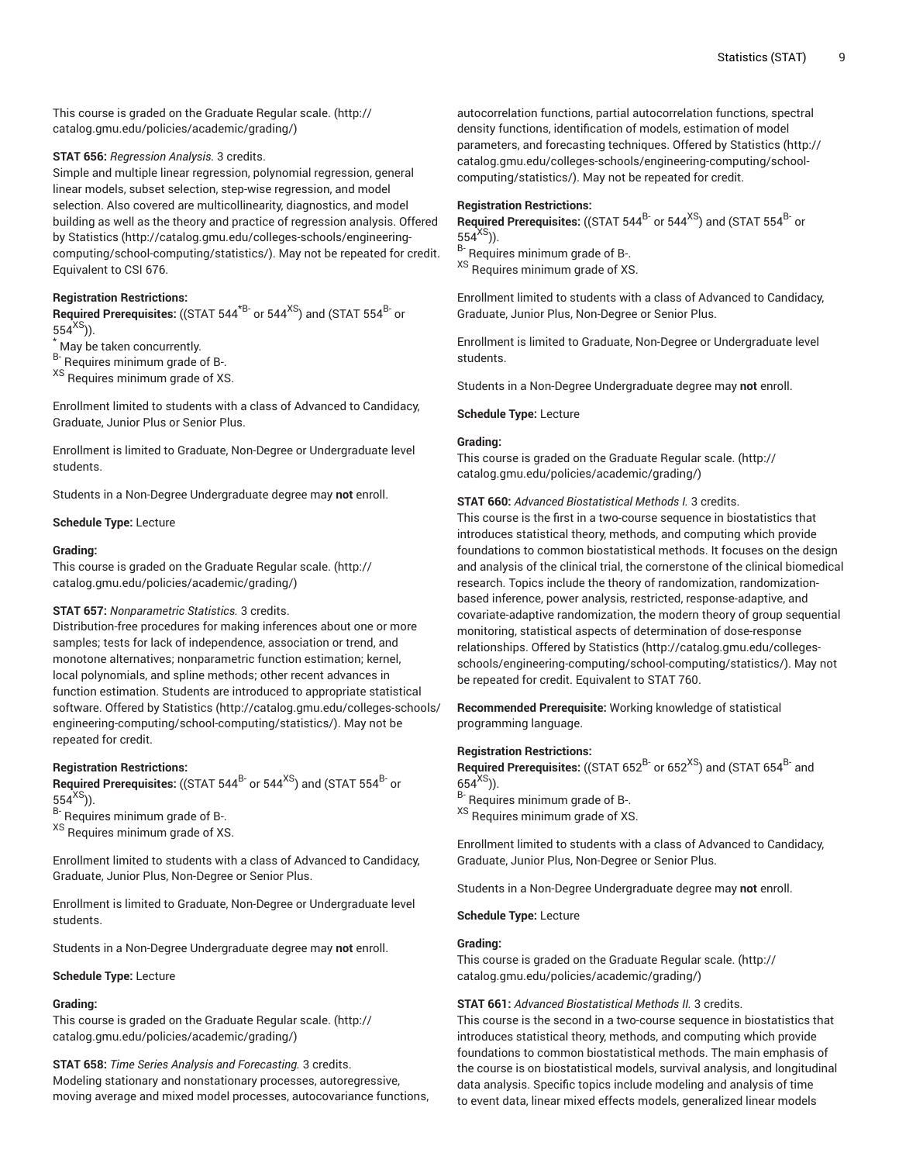This course is graded on the [Graduate Regular scale.](http://catalog.gmu.edu/policies/academic/grading/) [\(http://](http://catalog.gmu.edu/policies/academic/grading/) [catalog.gmu.edu/policies/academic/grading/\)](http://catalog.gmu.edu/policies/academic/grading/)

# **STAT 656:** *Regression Analysis.* 3 credits.

Simple and multiple linear regression, polynomial regression, general linear models, subset selection, step-wise regression, and model selection. Also covered are multicollinearity, diagnostics, and model building as well as the theory and practice of regression analysis. Offered by [Statistics \(http://catalog.gmu.edu/colleges-schools/engineering](http://catalog.gmu.edu/colleges-schools/engineering-computing/school-computing/statistics/)[computing/school-computing/statistics/](http://catalog.gmu.edu/colleges-schools/engineering-computing/school-computing/statistics/)). May not be repeated for credit. Equivalent to CSI 676.

#### **Registration Restrictions:**

**Required Prerequisites:** ((STAT 544<sup>\*B-</sup> or 544<sup>XS</sup>) and (STAT 554<sup>B-</sup> or  $554<sup>XS</sup>)$ ).

\* May be taken concurrently.

B- Requires minimum grade of B-.

XS Requires minimum grade of XS.

Enrollment limited to students with a class of Advanced to Candidacy, Graduate, Junior Plus or Senior Plus.

Enrollment is limited to Graduate, Non-Degree or Undergraduate level students.

Students in a Non-Degree Undergraduate degree may **not** enroll.

**Schedule Type:** Lecture

#### **Grading:**

This course is graded on the [Graduate Regular scale.](http://catalog.gmu.edu/policies/academic/grading/) [\(http://](http://catalog.gmu.edu/policies/academic/grading/) [catalog.gmu.edu/policies/academic/grading/\)](http://catalog.gmu.edu/policies/academic/grading/)

# **STAT 657:** *Nonparametric Statistics.* 3 credits.

Distribution-free procedures for making inferences about one or more samples; tests for lack of independence, association or trend, and monotone alternatives; nonparametric function estimation; kernel, local polynomials, and spline methods; other recent advances in function estimation. Students are introduced to appropriate statistical software. Offered by [Statistics](http://catalog.gmu.edu/colleges-schools/engineering-computing/school-computing/statistics/) ([http://catalog.gmu.edu/colleges-schools/](http://catalog.gmu.edu/colleges-schools/engineering-computing/school-computing/statistics/) [engineering-computing/school-computing/statistics/](http://catalog.gmu.edu/colleges-schools/engineering-computing/school-computing/statistics/)). May not be repeated for credit.

# **Registration Restrictions:**

 $\bf{Required~Pre requires:}$  ((STAT 544 $\rm{^{B}~or}$  544 $\rm{^{XS}})$  and (STAT 554 $\rm{^{B}~or}$  $554^{XS}$ )).

 $B - B$ - Requires minimum grade of B-.

XS Requires minimum grade of XS.

Enrollment limited to students with a class of Advanced to Candidacy, Graduate, Junior Plus, Non-Degree or Senior Plus.

Enrollment is limited to Graduate, Non-Degree or Undergraduate level students.

Students in a Non-Degree Undergraduate degree may **not** enroll.

#### **Schedule Type:** Lecture

# **Grading:**

This course is graded on the [Graduate Regular scale.](http://catalog.gmu.edu/policies/academic/grading/) [\(http://](http://catalog.gmu.edu/policies/academic/grading/) [catalog.gmu.edu/policies/academic/grading/\)](http://catalog.gmu.edu/policies/academic/grading/)

**STAT 658:** *Time Series Analysis and Forecasting.* 3 credits. Modeling stationary and nonstationary processes, autoregressive, moving average and mixed model processes, autocovariance functions,

autocorrelation functions, partial autocorrelation functions, spectral density functions, identification of models, estimation of model parameters, and forecasting techniques. Offered by [Statistics \(http://](http://catalog.gmu.edu/colleges-schools/engineering-computing/school-computing/statistics/) [catalog.gmu.edu/colleges-schools/engineering-computing/school](http://catalog.gmu.edu/colleges-schools/engineering-computing/school-computing/statistics/)[computing/statistics/](http://catalog.gmu.edu/colleges-schools/engineering-computing/school-computing/statistics/)). May not be repeated for credit.

#### **Registration Restrictions:**

 $\,$  Required Prerequisites: ((STAT 544 $^{\rm B} \!$  or 544 $^{\rm XS}$ ) and (STAT 554 $^{\rm B} \!$  or  $554^{X5}$ )). B- Requires minimum grade of B-. XS Requires minimum grade of XS.

Enrollment limited to students with a class of Advanced to Candidacy, Graduate, Junior Plus, Non-Degree or Senior Plus.

Enrollment is limited to Graduate, Non-Degree or Undergraduate level students.

Students in a Non-Degree Undergraduate degree may **not** enroll.

#### **Schedule Type:** Lecture

# **Grading:**

This course is graded on the [Graduate Regular scale.](http://catalog.gmu.edu/policies/academic/grading/) ([http://](http://catalog.gmu.edu/policies/academic/grading/) [catalog.gmu.edu/policies/academic/grading/](http://catalog.gmu.edu/policies/academic/grading/))

#### **STAT 660:** *Advanced Biostatistical Methods I.* 3 credits.

This course is the first in a two-course sequence in biostatistics that introduces statistical theory, methods, and computing which provide foundations to common biostatistical methods. It focuses on the design and analysis of the clinical trial, the cornerstone of the clinical biomedical research. Topics include the theory of randomization, randomizationbased inference, power analysis, restricted, response-adaptive, and covariate-adaptive randomization, the modern theory of group sequential monitoring, statistical aspects of determination of dose-response relationships. Offered by [Statistics](http://catalog.gmu.edu/colleges-schools/engineering-computing/school-computing/statistics/) [\(http://catalog.gmu.edu/colleges](http://catalog.gmu.edu/colleges-schools/engineering-computing/school-computing/statistics/)[schools/engineering-computing/school-computing/statistics/](http://catalog.gmu.edu/colleges-schools/engineering-computing/school-computing/statistics/)). May not be repeated for credit. Equivalent to STAT 760.

**Recommended Prerequisite:** Working knowledge of statistical programming language.

#### **Registration Restrictions:**

 $\bf{Required\ Pre requires:}$  ((STAT 652 $^{\rm B-}$  or 652 $^{\rm XS}$ ) and (STAT 654 $^{\rm B-}$  and  $654^{XS})$ ).  $B-$  Requires minimum grade of B-.

XS Requires minimum grade of XS.

Enrollment limited to students with a class of Advanced to Candidacy, Graduate, Junior Plus, Non-Degree or Senior Plus.

Students in a Non-Degree Undergraduate degree may **not** enroll.

#### **Schedule Type:** Lecture

## **Grading:**

This course is graded on the [Graduate Regular scale.](http://catalog.gmu.edu/policies/academic/grading/) ([http://](http://catalog.gmu.edu/policies/academic/grading/) [catalog.gmu.edu/policies/academic/grading/](http://catalog.gmu.edu/policies/academic/grading/))

# **STAT 661:** *Advanced Biostatistical Methods II.* 3 credits.

This course is the second in a two-course sequence in biostatistics that introduces statistical theory, methods, and computing which provide foundations to common biostatistical methods. The main emphasis of the course is on biostatistical models, survival analysis, and longitudinal data analysis. Specific topics include modeling and analysis of time to event data, linear mixed effects models, generalized linear models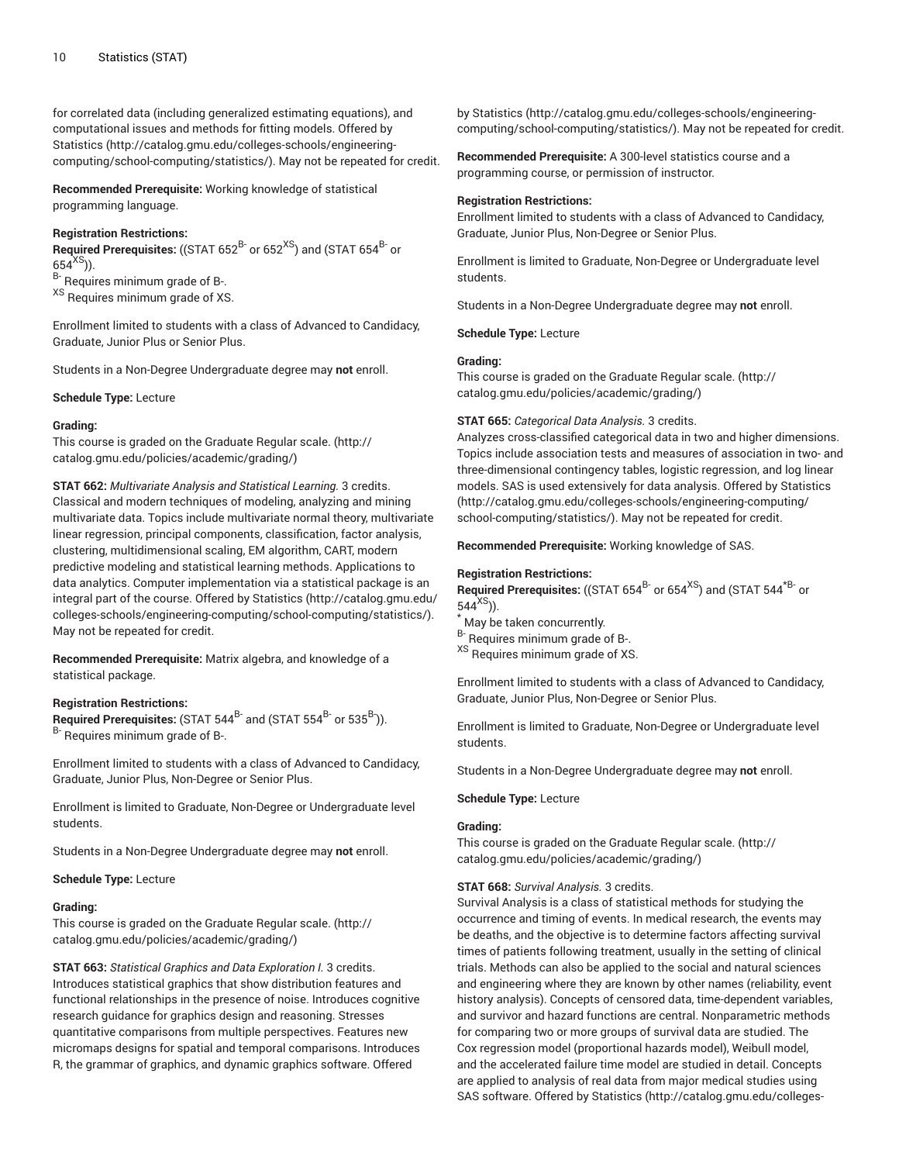for correlated data (including generalized estimating equations), and computational issues and methods for fitting models. Offered by [Statistics](http://catalog.gmu.edu/colleges-schools/engineering-computing/school-computing/statistics/) ([http://catalog.gmu.edu/colleges-schools/engineering](http://catalog.gmu.edu/colleges-schools/engineering-computing/school-computing/statistics/)[computing/school-computing/statistics/](http://catalog.gmu.edu/colleges-schools/engineering-computing/school-computing/statistics/)). May not be repeated for credit.

**Recommended Prerequisite:** Working knowledge of statistical programming language.

# **Registration Restrictions:**

 $\,$  Required Prerequisites: ((STAT 652 $^{\rm B}$  or 652 $^{\rm XS}$ ) and (STAT 654 $^{\rm B}$  or  $654<sup>XS</sup>)$ ).

B- Requires minimum grade of B-.

XS Requires minimum grade of XS.

Enrollment limited to students with a class of Advanced to Candidacy, Graduate, Junior Plus or Senior Plus.

Students in a Non-Degree Undergraduate degree may **not** enroll.

**Schedule Type:** Lecture

#### **Grading:**

This course is graded on the [Graduate Regular scale.](http://catalog.gmu.edu/policies/academic/grading/) [\(http://](http://catalog.gmu.edu/policies/academic/grading/) [catalog.gmu.edu/policies/academic/grading/\)](http://catalog.gmu.edu/policies/academic/grading/)

**STAT 662:** *Multivariate Analysis and Statistical Learning.* 3 credits. Classical and modern techniques of modeling, analyzing and mining multivariate data. Topics include multivariate normal theory, multivariate linear regression, principal components, classification, factor analysis, clustering, multidimensional scaling, EM algorithm, CART, modern predictive modeling and statistical learning methods. Applications to data analytics. Computer implementation via a statistical package is an integral part of the course. Offered by [Statistics](http://catalog.gmu.edu/colleges-schools/engineering-computing/school-computing/statistics/) ([http://catalog.gmu.edu/](http://catalog.gmu.edu/colleges-schools/engineering-computing/school-computing/statistics/) [colleges-schools/engineering-computing/school-computing/statistics/](http://catalog.gmu.edu/colleges-schools/engineering-computing/school-computing/statistics/)). May not be repeated for credit.

**Recommended Prerequisite:** Matrix algebra, and knowledge of a statistical package.

## **Registration Restrictions:**

 $\mathsf{\mathsf{Required\ Pre} regions}$  (STAT 544 $^{\mathsf{B}\text{-}}$  and (STAT 554 $^{\mathsf{B}\text{-}}$  or 535 $^{\mathsf{B}\text{-}}$ )). B- Requires minimum grade of B-.

Enrollment limited to students with a class of Advanced to Candidacy, Graduate, Junior Plus, Non-Degree or Senior Plus.

Enrollment is limited to Graduate, Non-Degree or Undergraduate level students.

Students in a Non-Degree Undergraduate degree may **not** enroll.

#### **Schedule Type:** Lecture

#### **Grading:**

This course is graded on the [Graduate Regular scale.](http://catalog.gmu.edu/policies/academic/grading/) [\(http://](http://catalog.gmu.edu/policies/academic/grading/) [catalog.gmu.edu/policies/academic/grading/\)](http://catalog.gmu.edu/policies/academic/grading/)

**STAT 663:** *Statistical Graphics and Data Exploration I.* 3 credits. Introduces statistical graphics that show distribution features and functional relationships in the presence of noise. Introduces cognitive research guidance for graphics design and reasoning. Stresses quantitative comparisons from multiple perspectives. Features new micromaps designs for spatial and temporal comparisons. Introduces R, the grammar of graphics, and dynamic graphics software. Offered

by [Statistics](http://catalog.gmu.edu/colleges-schools/engineering-computing/school-computing/statistics/) ([http://catalog.gmu.edu/colleges-schools/engineering](http://catalog.gmu.edu/colleges-schools/engineering-computing/school-computing/statistics/)[computing/school-computing/statistics/](http://catalog.gmu.edu/colleges-schools/engineering-computing/school-computing/statistics/)). May not be repeated for credit.

**Recommended Prerequisite:** A 300-level statistics course and a programming course, or permission of instructor.

#### **Registration Restrictions:**

Enrollment limited to students with a class of Advanced to Candidacy, Graduate, Junior Plus, Non-Degree or Senior Plus.

Enrollment is limited to Graduate, Non-Degree or Undergraduate level students.

Students in a Non-Degree Undergraduate degree may **not** enroll.

**Schedule Type:** Lecture

## **Grading:**

This course is graded on the [Graduate Regular scale.](http://catalog.gmu.edu/policies/academic/grading/) ([http://](http://catalog.gmu.edu/policies/academic/grading/) [catalog.gmu.edu/policies/academic/grading/](http://catalog.gmu.edu/policies/academic/grading/))

#### **STAT 665:** *Categorical Data Analysis.* 3 credits.

Analyzes cross-classified categorical data in two and higher dimensions. Topics include association tests and measures of association in two- and three-dimensional contingency tables, logistic regression, and log linear models. SAS is used extensively for data analysis. Offered by [Statistics](http://catalog.gmu.edu/colleges-schools/engineering-computing/school-computing/statistics/) [\(http://catalog.gmu.edu/colleges-schools/engineering-computing/](http://catalog.gmu.edu/colleges-schools/engineering-computing/school-computing/statistics/) [school-computing/statistics/](http://catalog.gmu.edu/colleges-schools/engineering-computing/school-computing/statistics/)). May not be repeated for credit.

**Recommended Prerequisite:** Working knowledge of SAS.

# **Registration Restrictions:**

**Required Prerequisites:** ((STAT 654<sup>B-</sup> or 654<sup>XS</sup>) and (STAT 544<sup>\*B-</sup> or  $544^{XS}$ )).

May be taken concurrently.

B- Requires minimum grade of B-.

<sup>XS</sup> Requires minimum grade of XS.

Enrollment limited to students with a class of Advanced to Candidacy, Graduate, Junior Plus, Non-Degree or Senior Plus.

Enrollment is limited to Graduate, Non-Degree or Undergraduate level students.

Students in a Non-Degree Undergraduate degree may **not** enroll.

#### **Schedule Type:** Lecture

# **Grading:**

This course is graded on the [Graduate Regular scale.](http://catalog.gmu.edu/policies/academic/grading/) ([http://](http://catalog.gmu.edu/policies/academic/grading/) [catalog.gmu.edu/policies/academic/grading/](http://catalog.gmu.edu/policies/academic/grading/))

# **STAT 668:** *Survival Analysis.* 3 credits.

Survival Analysis is a class of statistical methods for studying the occurrence and timing of events. In medical research, the events may be deaths, and the objective is to determine factors affecting survival times of patients following treatment, usually in the setting of clinical trials. Methods can also be applied to the social and natural sciences and engineering where they are known by other names (reliability, event history analysis). Concepts of censored data, time-dependent variables, and survivor and hazard functions are central. Nonparametric methods for comparing two or more groups of survival data are studied. The Cox regression model (proportional hazards model), Weibull model, and the accelerated failure time model are studied in detail. Concepts are applied to analysis of real data from major medical studies using SAS software. Offered by [Statistics \(http://catalog.gmu.edu/colleges-](http://catalog.gmu.edu/colleges-schools/engineering-computing/school-computing/statistics/)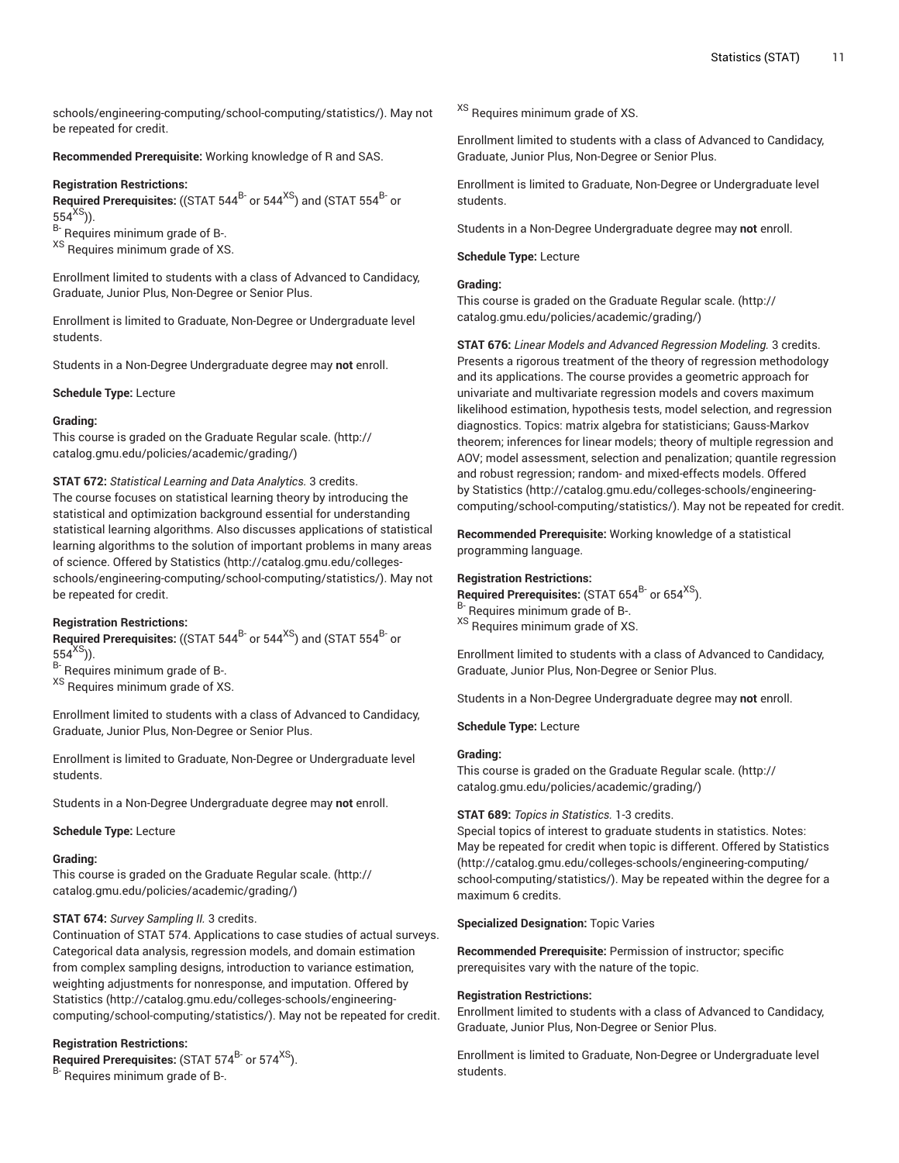[schools/engineering-computing/school-computing/statistics/\)](http://catalog.gmu.edu/colleges-schools/engineering-computing/school-computing/statistics/). May not be repeated for credit.

**Recommended Prerequisite:** Working knowledge of R and SAS.

# **Registration Restrictions:**

 $\bf{Required~Prerequires:}$  ((STAT 544 $\rm{^{B}~or}$  544 $\rm{^{XS}})$  and (STAT 554 $\rm{^{B}~or}$  $554^{XS}$ )).

 $\overline{B}$ - Requires minimum grade of B-.

XS Requires minimum grade of XS.

Enrollment limited to students with a class of Advanced to Candidacy, Graduate, Junior Plus, Non-Degree or Senior Plus.

Enrollment is limited to Graduate, Non-Degree or Undergraduate level students.

Students in a Non-Degree Undergraduate degree may **not** enroll.

**Schedule Type:** Lecture

# **Grading:**

This course is graded on the [Graduate Regular scale.](http://catalog.gmu.edu/policies/academic/grading/) [\(http://](http://catalog.gmu.edu/policies/academic/grading/) [catalog.gmu.edu/policies/academic/grading/\)](http://catalog.gmu.edu/policies/academic/grading/)

# **STAT 672:** *Statistical Learning and Data Analytics.* 3 credits.

The course focuses on statistical learning theory by introducing the statistical and optimization background essential for understanding statistical learning algorithms. Also discusses applications of statistical learning algorithms to the solution of important problems in many areas of science. Offered by [Statistics](http://catalog.gmu.edu/colleges-schools/engineering-computing/school-computing/statistics/) ([http://catalog.gmu.edu/colleges](http://catalog.gmu.edu/colleges-schools/engineering-computing/school-computing/statistics/)[schools/engineering-computing/school-computing/statistics/\)](http://catalog.gmu.edu/colleges-schools/engineering-computing/school-computing/statistics/). May not be repeated for credit.

# **Registration Restrictions:**

 $\bf{Required~Pre requires:}$  ((STAT 544 $\rm{^{B}~or}$  544 $\rm{^{XS}})$  and (STAT 554 $\rm{^{B}~or}$  $554^{XS}$ )).

 $B-$  Requires minimum grade of B-.

XS Requires minimum grade of XS.

Enrollment limited to students with a class of Advanced to Candidacy, Graduate, Junior Plus, Non-Degree or Senior Plus.

Enrollment is limited to Graduate, Non-Degree or Undergraduate level students.

Students in a Non-Degree Undergraduate degree may **not** enroll.

**Schedule Type:** Lecture

# **Grading:**

This course is graded on the [Graduate Regular scale.](http://catalog.gmu.edu/policies/academic/grading/) [\(http://](http://catalog.gmu.edu/policies/academic/grading/) [catalog.gmu.edu/policies/academic/grading/\)](http://catalog.gmu.edu/policies/academic/grading/)

# **STAT 674:** *Survey Sampling II.* 3 credits.

Continuation of STAT 574. Applications to case studies of actual surveys. Categorical data analysis, regression models, and domain estimation from complex sampling designs, introduction to variance estimation, weighting adjustments for nonresponse, and imputation. Offered by [Statistics](http://catalog.gmu.edu/colleges-schools/engineering-computing/school-computing/statistics/) ([http://catalog.gmu.edu/colleges-schools/engineering](http://catalog.gmu.edu/colleges-schools/engineering-computing/school-computing/statistics/)[computing/school-computing/statistics/](http://catalog.gmu.edu/colleges-schools/engineering-computing/school-computing/statistics/)). May not be repeated for credit.

# **Registration Restrictions:**

 $\,$  Required Prerequisites: (STAT 574 $^{\rm B}$  or 574 $^{\rm XS}$ ).

B- Requires minimum grade of B-.

XS Requires minimum grade of XS.

Enrollment limited to students with a class of Advanced to Candidacy, Graduate, Junior Plus, Non-Degree or Senior Plus.

Enrollment is limited to Graduate, Non-Degree or Undergraduate level students.

Students in a Non-Degree Undergraduate degree may **not** enroll.

# **Schedule Type:** Lecture

# **Grading:**

This course is graded on the [Graduate Regular scale.](http://catalog.gmu.edu/policies/academic/grading/) ([http://](http://catalog.gmu.edu/policies/academic/grading/) [catalog.gmu.edu/policies/academic/grading/](http://catalog.gmu.edu/policies/academic/grading/))

**STAT 676:** *Linear Models and Advanced Regression Modeling.* 3 credits. Presents a rigorous treatment of the theory of regression methodology and its applications. The course provides a geometric approach for univariate and multivariate regression models and covers maximum likelihood estimation, hypothesis tests, model selection, and regression diagnostics. Topics: matrix algebra for statisticians; Gauss-Markov theorem; inferences for linear models; theory of multiple regression and AOV; model assessment, selection and penalization; quantile regression and robust regression; random- and mixed-effects models. Offered by [Statistics](http://catalog.gmu.edu/colleges-schools/engineering-computing/school-computing/statistics/) ([http://catalog.gmu.edu/colleges-schools/engineering](http://catalog.gmu.edu/colleges-schools/engineering-computing/school-computing/statistics/)[computing/school-computing/statistics/](http://catalog.gmu.edu/colleges-schools/engineering-computing/school-computing/statistics/)). May not be repeated for credit.

**Recommended Prerequisite:** Working knowledge of a statistical programming language.

# **Registration Restrictions:**

 $\mathsf{Required}$  Prerequisites: (STAT 654 $^{\mathtt{B-}}$  or 654 $^{\mathtt{XS}}$ ). B-Requires minimum grade of B-. XS Requires minimum grade of XS.

Enrollment limited to students with a class of Advanced to Candidacy, Graduate, Junior Plus, Non-Degree or Senior Plus.

Students in a Non-Degree Undergraduate degree may **not** enroll.

**Schedule Type:** Lecture

# **Grading:**

This course is graded on the [Graduate Regular scale.](http://catalog.gmu.edu/policies/academic/grading/) ([http://](http://catalog.gmu.edu/policies/academic/grading/) [catalog.gmu.edu/policies/academic/grading/](http://catalog.gmu.edu/policies/academic/grading/))

# **STAT 689:** *Topics in Statistics.* 1-3 credits.

Special topics of interest to graduate students in statistics. Notes: May be repeated for credit when topic is different. Offered by [Statistics](http://catalog.gmu.edu/colleges-schools/engineering-computing/school-computing/statistics/) [\(http://catalog.gmu.edu/colleges-schools/engineering-computing/](http://catalog.gmu.edu/colleges-schools/engineering-computing/school-computing/statistics/) [school-computing/statistics/](http://catalog.gmu.edu/colleges-schools/engineering-computing/school-computing/statistics/)). May be repeated within the degree for a maximum 6 credits.

**Specialized Designation:** Topic Varies

**Recommended Prerequisite:** Permission of instructor; specific prerequisites vary with the nature of the topic.

# **Registration Restrictions:**

Enrollment limited to students with a class of Advanced to Candidacy, Graduate, Junior Plus, Non-Degree or Senior Plus.

Enrollment is limited to Graduate, Non-Degree or Undergraduate level students.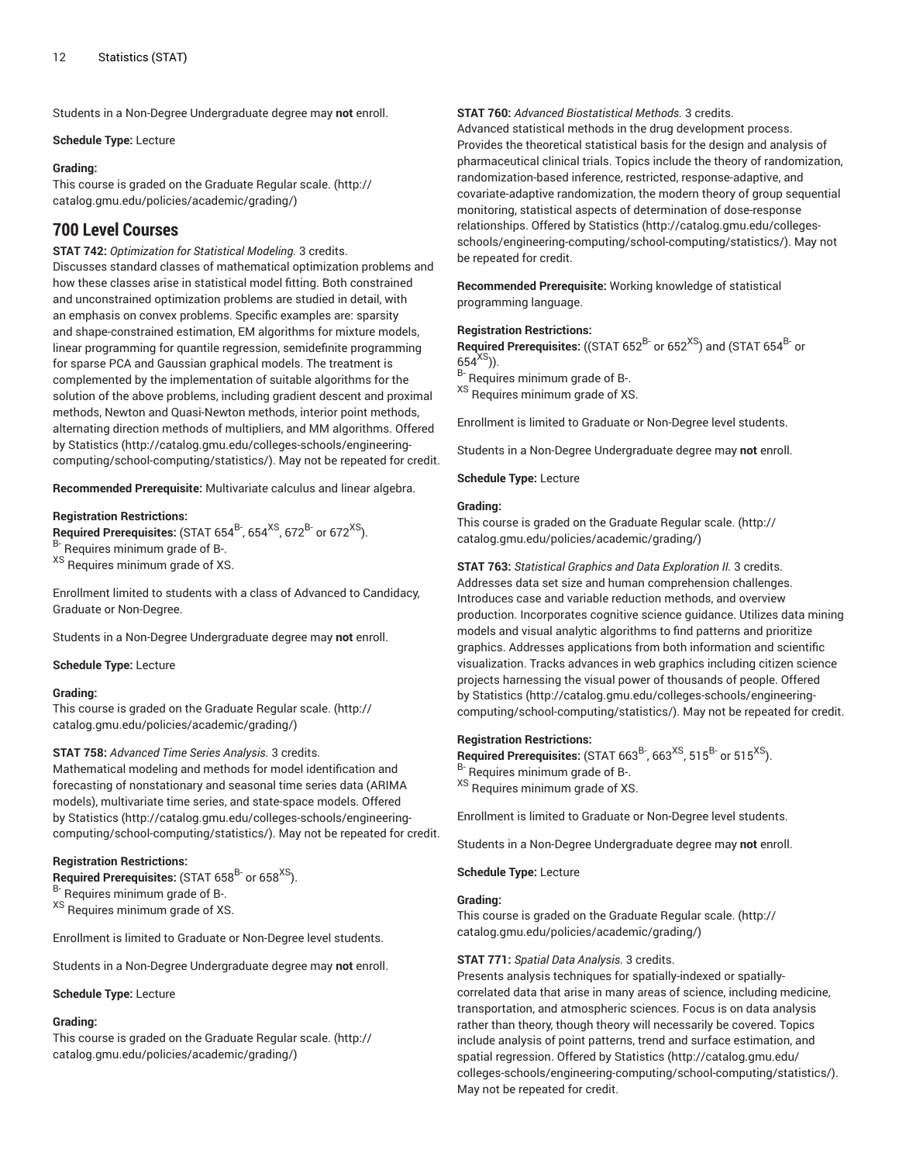Students in a Non-Degree Undergraduate degree may **not** enroll.

# **Schedule Type:** Lecture

# **Grading:**

This course is graded on the [Graduate Regular scale.](http://catalog.gmu.edu/policies/academic/grading/) [\(http://](http://catalog.gmu.edu/policies/academic/grading/) [catalog.gmu.edu/policies/academic/grading/\)](http://catalog.gmu.edu/policies/academic/grading/)

# **700 Level Courses**

**STAT 742:** *Optimization for Statistical Modeling.* 3 credits.

Discusses standard classes of mathematical optimization problems and how these classes arise in statistical model fitting. Both constrained and unconstrained optimization problems are studied in detail, with an emphasis on convex problems. Specific examples are: sparsity and shape-constrained estimation, EM algorithms for mixture models, linear programming for quantile regression, semidefinite programming for sparse PCA and Gaussian graphical models. The treatment is complemented by the implementation of suitable algorithms for the solution of the above problems, including gradient descent and proximal methods, Newton and Quasi-Newton methods, interior point methods, alternating direction methods of multipliers, and MM algorithms. Offered by [Statistics \(http://catalog.gmu.edu/colleges-schools/engineering](http://catalog.gmu.edu/colleges-schools/engineering-computing/school-computing/statistics/)[computing/school-computing/statistics/](http://catalog.gmu.edu/colleges-schools/engineering-computing/school-computing/statistics/)). May not be repeated for credit.

**Recommended Prerequisite:** Multivariate calculus and linear algebra.

# **Registration Restrictions:**

 $\,$  Required Prerequisites: (STAT 654 $^{\rm B}$ , 654 $^{\rm X S}$ , 672 $^{\rm B}$  or 672 $^{\rm X S}$ ). B- Requires minimum grade of B-. XS Requires minimum grade of XS.

Enrollment limited to students with a class of Advanced to Candidacy, Graduate or Non-Degree.

Students in a Non-Degree Undergraduate degree may **not** enroll.

# **Schedule Type:** Lecture

# **Grading:**

This course is graded on the [Graduate Regular scale.](http://catalog.gmu.edu/policies/academic/grading/) [\(http://](http://catalog.gmu.edu/policies/academic/grading/) [catalog.gmu.edu/policies/academic/grading/\)](http://catalog.gmu.edu/policies/academic/grading/)

# **STAT 758:** *Advanced Time Series Analysis.* 3 credits.

Mathematical modeling and methods for model identification and forecasting of nonstationary and seasonal time series data (ARIMA models), multivariate time series, and state-space models. Offered by [Statistics \(http://catalog.gmu.edu/colleges-schools/engineering](http://catalog.gmu.edu/colleges-schools/engineering-computing/school-computing/statistics/)[computing/school-computing/statistics/](http://catalog.gmu.edu/colleges-schools/engineering-computing/school-computing/statistics/)). May not be repeated for credit.

# **Registration Restrictions:**

 $\mathsf{Required}$  <code>Prerequisites:</code> (STAT 658 $^\mathsf{B\text{-}}$  or 658 $^\mathsf{XS}$ ). <sup>B-</sup> Requires minimum grade of B-.

<sup>XS</sup> Requires minimum grade of XS.

Enrollment is limited to Graduate or Non-Degree level students.

Students in a Non-Degree Undergraduate degree may **not** enroll.

# **Schedule Type:** Lecture

# **Grading:**

This course is graded on the [Graduate Regular scale.](http://catalog.gmu.edu/policies/academic/grading/) [\(http://](http://catalog.gmu.edu/policies/academic/grading/) [catalog.gmu.edu/policies/academic/grading/\)](http://catalog.gmu.edu/policies/academic/grading/)

# **STAT 760:** *Advanced Biostatistical Methods.* 3 credits.

Advanced statistical methods in the drug development process. Provides the theoretical statistical basis for the design and analysis of pharmaceutical clinical trials. Topics include the theory of randomization, randomization-based inference, restricted, response-adaptive, and covariate-adaptive randomization, the modern theory of group sequential monitoring, statistical aspects of determination of dose-response relationships. Offered by [Statistics](http://catalog.gmu.edu/colleges-schools/engineering-computing/school-computing/statistics/) [\(http://catalog.gmu.edu/colleges](http://catalog.gmu.edu/colleges-schools/engineering-computing/school-computing/statistics/)[schools/engineering-computing/school-computing/statistics/](http://catalog.gmu.edu/colleges-schools/engineering-computing/school-computing/statistics/)). May not be repeated for credit.

**Recommended Prerequisite:** Working knowledge of statistical programming language.

# **Registration Restrictions:**

 $\,$  Required Prerequisites: ((STAT 652 $^{\rm B}$  or 652 $^{\rm XS}$ ) and (STAT 654 $^{\rm B}$  or  $654<sup>XS</sup>)$ ).

B- Requires minimum grade of B-.

XS Requires minimum grade of XS.

Enrollment is limited to Graduate or Non-Degree level students.

Students in a Non-Degree Undergraduate degree may **not** enroll.

**Schedule Type:** Lecture

# **Grading:**

This course is graded on the [Graduate Regular scale.](http://catalog.gmu.edu/policies/academic/grading/) ([http://](http://catalog.gmu.edu/policies/academic/grading/) [catalog.gmu.edu/policies/academic/grading/](http://catalog.gmu.edu/policies/academic/grading/))

**STAT 763:** *Statistical Graphics and Data Exploration II.* 3 credits. Addresses data set size and human comprehension challenges. Introduces case and variable reduction methods, and overview production. Incorporates cognitive science guidance. Utilizes data mining models and visual analytic algorithms to find patterns and prioritize graphics. Addresses applications from both information and scientific visualization. Tracks advances in web graphics including citizen science projects harnessing the visual power of thousands of people. Offered by [Statistics](http://catalog.gmu.edu/colleges-schools/engineering-computing/school-computing/statistics/) ([http://catalog.gmu.edu/colleges-schools/engineering](http://catalog.gmu.edu/colleges-schools/engineering-computing/school-computing/statistics/)[computing/school-computing/statistics/](http://catalog.gmu.edu/colleges-schools/engineering-computing/school-computing/statistics/)). May not be repeated for credit.

# **Registration Restrictions:**

 $\,$  Required Prerequisites: (STAT 663 $^{\rm B}$ , 663 $^{\rm X S}$ , 515 $^{\rm B}$  or 515 $^{\rm X S}$ ). B- Requires minimum grade of B-.

<sup>XS</sup> Requires minimum grade of XS.

Enrollment is limited to Graduate or Non-Degree level students.

Students in a Non-Degree Undergraduate degree may **not** enroll.

**Schedule Type:** Lecture

# **Grading:**

This course is graded on the [Graduate Regular scale.](http://catalog.gmu.edu/policies/academic/grading/) ([http://](http://catalog.gmu.edu/policies/academic/grading/) [catalog.gmu.edu/policies/academic/grading/](http://catalog.gmu.edu/policies/academic/grading/))

# **STAT 771:** *Spatial Data Analysis.* 3 credits.

Presents analysis techniques for spatially-indexed or spatiallycorrelated data that arise in many areas of science, including medicine, transportation, and atmospheric sciences. Focus is on data analysis rather than theory, though theory will necessarily be covered. Topics include analysis of point patterns, trend and surface estimation, and spatial regression. Offered by [Statistics \(http://catalog.gmu.edu/](http://catalog.gmu.edu/colleges-schools/engineering-computing/school-computing/statistics/) [colleges-schools/engineering-computing/school-computing/statistics/\)](http://catalog.gmu.edu/colleges-schools/engineering-computing/school-computing/statistics/). May not be repeated for credit.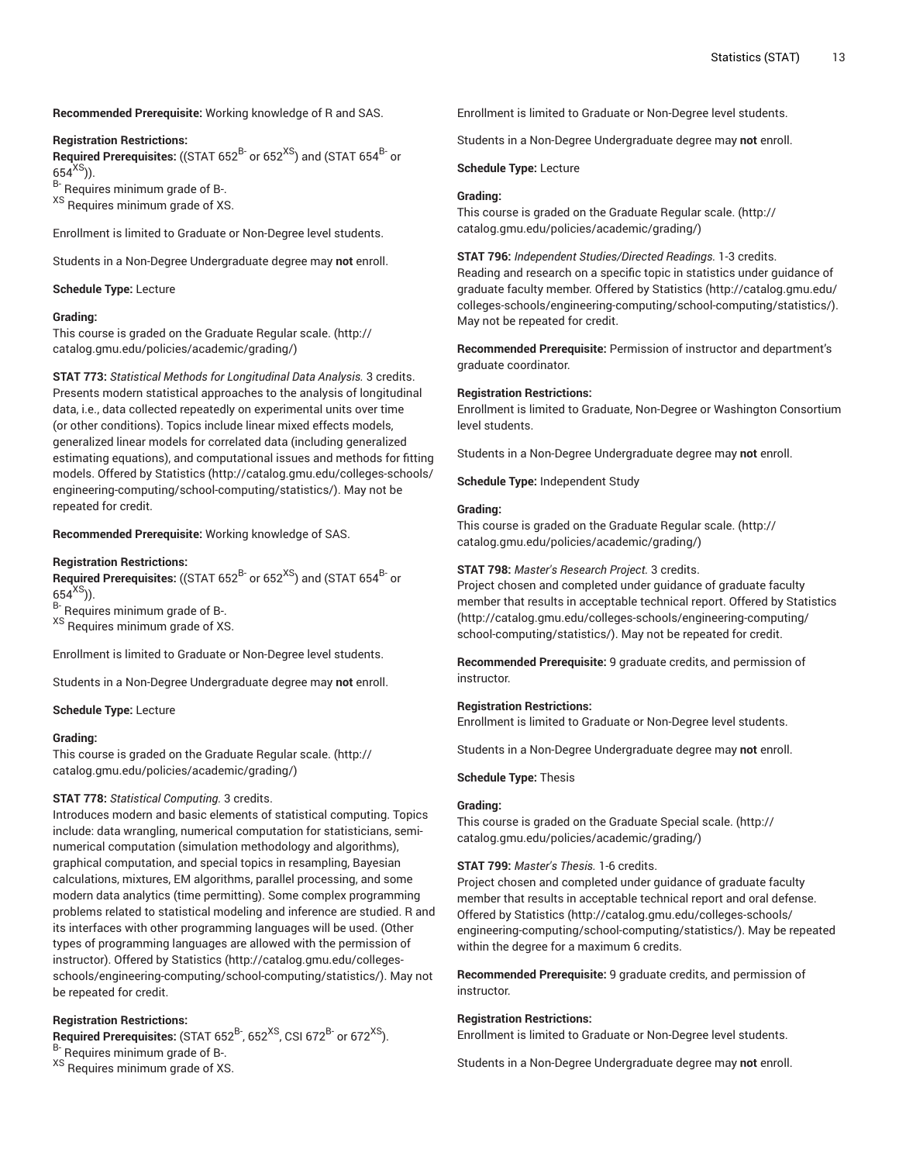**Recommended Prerequisite:** Working knowledge of R and SAS.

# **Registration Restrictions:**

 $\,$  Required Prerequisites: ((STAT 652 $^{\rm B}$  or 652 $^{\rm XS}$ ) and (STAT 654 $^{\rm B}$  or  $654^{XS}$ )).

B- Requires minimum grade of B-.

XS Requires minimum grade of XS.

Enrollment is limited to Graduate or Non-Degree level students.

Students in a Non-Degree Undergraduate degree may **not** enroll.

# **Schedule Type:** Lecture

# **Grading:**

This course is graded on the [Graduate Regular scale.](http://catalog.gmu.edu/policies/academic/grading/) [\(http://](http://catalog.gmu.edu/policies/academic/grading/) [catalog.gmu.edu/policies/academic/grading/\)](http://catalog.gmu.edu/policies/academic/grading/)

**STAT 773:** *Statistical Methods for Longitudinal Data Analysis.* 3 credits. Presents modern statistical approaches to the analysis of longitudinal data, i.e., data collected repeatedly on experimental units over time (or other conditions). Topics include linear mixed effects models, generalized linear models for correlated data (including generalized estimating equations), and computational issues and methods for fitting models. Offered by [Statistics](http://catalog.gmu.edu/colleges-schools/engineering-computing/school-computing/statistics/) ([http://catalog.gmu.edu/colleges-schools/](http://catalog.gmu.edu/colleges-schools/engineering-computing/school-computing/statistics/) [engineering-computing/school-computing/statistics/](http://catalog.gmu.edu/colleges-schools/engineering-computing/school-computing/statistics/)). May not be repeated for credit.

**Recommended Prerequisite:** Working knowledge of SAS.

#### **Registration Restrictions:**

 $\,$  Required Prerequisites: ((STAT 652 $^{\rm B}$  or 652 $^{\rm XS}$ ) and (STAT 654 $^{\rm B}$  or  $654<sup>XS</sup>)$ ).

B- Requires minimum grade of B-.

XS Requires minimum grade of XS.

Enrollment is limited to Graduate or Non-Degree level students.

Students in a Non-Degree Undergraduate degree may **not** enroll.

# **Schedule Type:** Lecture

#### **Grading:**

This course is graded on the [Graduate Regular scale.](http://catalog.gmu.edu/policies/academic/grading/) [\(http://](http://catalog.gmu.edu/policies/academic/grading/) [catalog.gmu.edu/policies/academic/grading/\)](http://catalog.gmu.edu/policies/academic/grading/)

## **STAT 778:** *Statistical Computing.* 3 credits.

Introduces modern and basic elements of statistical computing. Topics include: data wrangling, numerical computation for statisticians, seminumerical computation (simulation methodology and algorithms), graphical computation, and special topics in resampling, Bayesian calculations, mixtures, EM algorithms, parallel processing, and some modern data analytics (time permitting). Some complex programming problems related to statistical modeling and inference are studied. R and its interfaces with other programming languages will be used. (Other types of programming languages are allowed with the permission of instructor). Offered by [Statistics](http://catalog.gmu.edu/colleges-schools/engineering-computing/school-computing/statistics/) ([http://catalog.gmu.edu/colleges](http://catalog.gmu.edu/colleges-schools/engineering-computing/school-computing/statistics/)[schools/engineering-computing/school-computing/statistics/\)](http://catalog.gmu.edu/colleges-schools/engineering-computing/school-computing/statistics/). May not be repeated for credit.

# **Registration Restrictions:**

**Required Prerequisites:** (STAT 652<sup>B-</sup>, 652<sup>XS</sup>, CSI 672<sup>B-</sup> or 672<sup>XS</sup>). B- Requires minimum grade of B-.

XS Requires minimum grade of XS.

Enrollment is limited to Graduate or Non-Degree level students.

Students in a Non-Degree Undergraduate degree may **not** enroll.

**Schedule Type:** Lecture

## **Grading:**

This course is graded on the [Graduate Regular scale.](http://catalog.gmu.edu/policies/academic/grading/) ([http://](http://catalog.gmu.edu/policies/academic/grading/) [catalog.gmu.edu/policies/academic/grading/](http://catalog.gmu.edu/policies/academic/grading/))

**STAT 796:** *Independent Studies/Directed Readings.* 1-3 credits. Reading and research on a specific topic in statistics under guidance of graduate faculty member. Offered by [Statistics \(http://catalog.gmu.edu/](http://catalog.gmu.edu/colleges-schools/engineering-computing/school-computing/statistics/) [colleges-schools/engineering-computing/school-computing/statistics/\)](http://catalog.gmu.edu/colleges-schools/engineering-computing/school-computing/statistics/). May not be repeated for credit.

**Recommended Prerequisite:** Permission of instructor and department's graduate coordinator.

#### **Registration Restrictions:**

Enrollment is limited to Graduate, Non-Degree or Washington Consortium level students.

Students in a Non-Degree Undergraduate degree may **not** enroll.

**Schedule Type:** Independent Study

# **Grading:**

This course is graded on the [Graduate Regular scale.](http://catalog.gmu.edu/policies/academic/grading/) ([http://](http://catalog.gmu.edu/policies/academic/grading/) [catalog.gmu.edu/policies/academic/grading/](http://catalog.gmu.edu/policies/academic/grading/))

## **STAT 798:** *Master's Research Project.* 3 credits.

Project chosen and completed under guidance of graduate faculty member that results in acceptable technical report. Offered by [Statistics](http://catalog.gmu.edu/colleges-schools/engineering-computing/school-computing/statistics/) [\(http://catalog.gmu.edu/colleges-schools/engineering-computing/](http://catalog.gmu.edu/colleges-schools/engineering-computing/school-computing/statistics/) [school-computing/statistics/](http://catalog.gmu.edu/colleges-schools/engineering-computing/school-computing/statistics/)). May not be repeated for credit.

**Recommended Prerequisite:** 9 graduate credits, and permission of instructor.

# **Registration Restrictions:**

Enrollment is limited to Graduate or Non-Degree level students.

Students in a Non-Degree Undergraduate degree may **not** enroll.

#### **Schedule Type:** Thesis

# **Grading:**

This course is graded on the [Graduate Special scale. \(http://](http://catalog.gmu.edu/policies/academic/grading/) [catalog.gmu.edu/policies/academic/grading/](http://catalog.gmu.edu/policies/academic/grading/))

# **STAT 799:** *Master's Thesis.* 1-6 credits.

Project chosen and completed under guidance of graduate faculty member that results in acceptable technical report and oral defense. Offered by [Statistics \(http://catalog.gmu.edu/colleges-schools/](http://catalog.gmu.edu/colleges-schools/engineering-computing/school-computing/statistics/) [engineering-computing/school-computing/statistics/\)](http://catalog.gmu.edu/colleges-schools/engineering-computing/school-computing/statistics/). May be repeated within the degree for a maximum 6 credits.

**Recommended Prerequisite:** 9 graduate credits, and permission of instructor.

# **Registration Restrictions:**

Enrollment is limited to Graduate or Non-Degree level students.

Students in a Non-Degree Undergraduate degree may **not** enroll.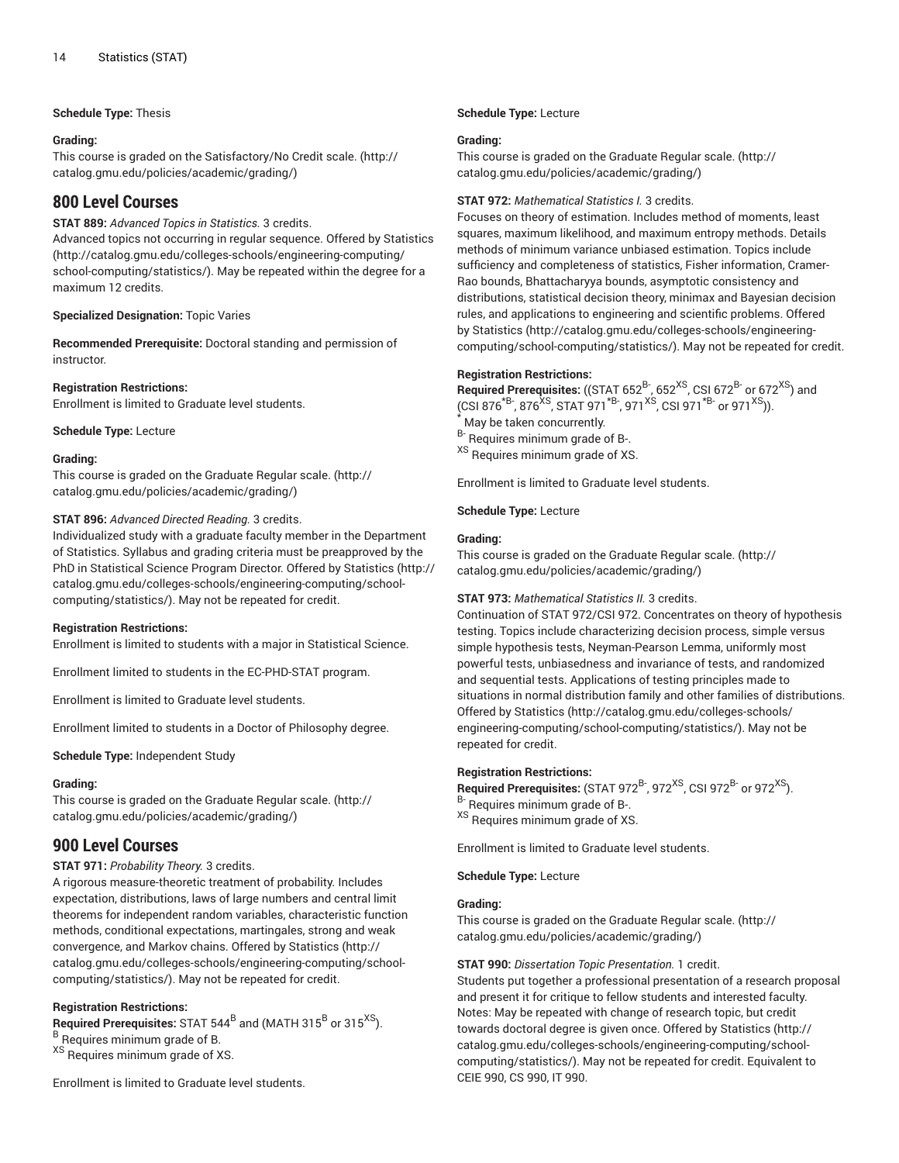# **Schedule Type:** Thesis

## **Grading:**

This course is graded on the [Satisfactory/No](http://catalog.gmu.edu/policies/academic/grading/) Credit scale. ([http://](http://catalog.gmu.edu/policies/academic/grading/) [catalog.gmu.edu/policies/academic/grading/\)](http://catalog.gmu.edu/policies/academic/grading/)

# **800 Level Courses**

# **STAT 889:** *Advanced Topics in Statistics.* 3 credits.

Advanced topics not occurring in regular sequence. Offered by [Statistics](http://catalog.gmu.edu/colleges-schools/engineering-computing/school-computing/statistics/) ([http://catalog.gmu.edu/colleges-schools/engineering-computing/](http://catalog.gmu.edu/colleges-schools/engineering-computing/school-computing/statistics/) [school-computing/statistics/](http://catalog.gmu.edu/colleges-schools/engineering-computing/school-computing/statistics/)). May be repeated within the degree for a maximum 12 credits.

# **Specialized Designation:** Topic Varies

**Recommended Prerequisite:** Doctoral standing and permission of instructor.

#### **Registration Restrictions:**

Enrollment is limited to Graduate level students.

# **Schedule Type:** Lecture

#### **Grading:**

This course is graded on the [Graduate Regular scale.](http://catalog.gmu.edu/policies/academic/grading/) [\(http://](http://catalog.gmu.edu/policies/academic/grading/) [catalog.gmu.edu/policies/academic/grading/\)](http://catalog.gmu.edu/policies/academic/grading/)

# **STAT 896:** *Advanced Directed Reading.* 3 credits.

Individualized study with a graduate faculty member in the Department of Statistics. Syllabus and grading criteria must be preapproved by the PhD in Statistical Science Program Director. Offered by [Statistics \(http://](http://catalog.gmu.edu/colleges-schools/engineering-computing/school-computing/statistics/) [catalog.gmu.edu/colleges-schools/engineering-computing/school](http://catalog.gmu.edu/colleges-schools/engineering-computing/school-computing/statistics/)[computing/statistics/\)](http://catalog.gmu.edu/colleges-schools/engineering-computing/school-computing/statistics/). May not be repeated for credit.

# **Registration Restrictions:**

Enrollment is limited to students with a major in Statistical Science.

Enrollment limited to students in the EC-PHD-STAT program.

Enrollment is limited to Graduate level students.

Enrollment limited to students in a Doctor of Philosophy degree.

**Schedule Type:** Independent Study

# **Grading:**

This course is graded on the [Graduate Regular scale.](http://catalog.gmu.edu/policies/academic/grading/) [\(http://](http://catalog.gmu.edu/policies/academic/grading/) [catalog.gmu.edu/policies/academic/grading/\)](http://catalog.gmu.edu/policies/academic/grading/)

# **900 Level Courses**

**STAT 971:** *Probability Theory.* 3 credits.

A rigorous measure-theoretic treatment of probability. Includes expectation, distributions, laws of large numbers and central limit theorems for independent random variables, characteristic function methods, conditional expectations, martingales, strong and weak convergence, and Markov chains. Offered by [Statistics](http://catalog.gmu.edu/colleges-schools/engineering-computing/school-computing/statistics/) ([http://](http://catalog.gmu.edu/colleges-schools/engineering-computing/school-computing/statistics/) [catalog.gmu.edu/colleges-schools/engineering-computing/school](http://catalog.gmu.edu/colleges-schools/engineering-computing/school-computing/statistics/)[computing/statistics/\)](http://catalog.gmu.edu/colleges-schools/engineering-computing/school-computing/statistics/). May not be repeated for credit.

# **Registration Restrictions:**

Required Prerequisites: STAT 544<sup>B</sup> and (MATH 315<sup>B</sup> or 315<sup>XS</sup>).

<sup>B</sup> Requires minimum grade of B.

<sup>XS</sup> Requires minimum grade of XS.

Enrollment is limited to Graduate level students.

# **Schedule Type:** Lecture

#### **Grading:**

This course is graded on the [Graduate Regular scale.](http://catalog.gmu.edu/policies/academic/grading/) ([http://](http://catalog.gmu.edu/policies/academic/grading/) [catalog.gmu.edu/policies/academic/grading/](http://catalog.gmu.edu/policies/academic/grading/))

# **STAT 972:** *Mathematical Statistics I.* 3 credits.

Focuses on theory of estimation. Includes method of moments, least squares, maximum likelihood, and maximum entropy methods. Details methods of minimum variance unbiased estimation. Topics include sufficiency and completeness of statistics, Fisher information, Cramer-Rao bounds, Bhattacharyya bounds, asymptotic consistency and distributions, statistical decision theory, minimax and Bayesian decision rules, and applications to engineering and scientific problems. Offered by [Statistics](http://catalog.gmu.edu/colleges-schools/engineering-computing/school-computing/statistics/) ([http://catalog.gmu.edu/colleges-schools/engineering](http://catalog.gmu.edu/colleges-schools/engineering-computing/school-computing/statistics/)[computing/school-computing/statistics/](http://catalog.gmu.edu/colleges-schools/engineering-computing/school-computing/statistics/)). May not be repeated for credit.

#### **Registration Restrictions:**

**Required Prerequisites:** ((STAT 652<sup>B-</sup>, 652<sup>XS</sup>, CSI 672<sup>B-</sup> or 672<sup>XS</sup>) and (CSI 876<sup>\*B-</sup>, 876<sup>XS</sup>, STAT 971<sup>\*B-</sup>, 971<sup>XS</sup>, CSI 971<sup>\*B-</sup> or 971<sup>XS</sup>)).

May be taken concurrently. B- Requires minimum grade of B-.

XS Requires minimum grade of XS.

Enrollment is limited to Graduate level students.

**Schedule Type:** Lecture

# **Grading:**

This course is graded on the [Graduate Regular scale.](http://catalog.gmu.edu/policies/academic/grading/) ([http://](http://catalog.gmu.edu/policies/academic/grading/) [catalog.gmu.edu/policies/academic/grading/](http://catalog.gmu.edu/policies/academic/grading/))

# **STAT 973:** *Mathematical Statistics II.* 3 credits.

Continuation of STAT 972/CSI 972. Concentrates on theory of hypothesis testing. Topics include characterizing decision process, simple versus simple hypothesis tests, Neyman-Pearson Lemma, uniformly most powerful tests, unbiasedness and invariance of tests, and randomized and sequential tests. Applications of testing principles made to situations in normal distribution family and other families of distributions. Offered by [Statistics \(http://catalog.gmu.edu/colleges-schools/](http://catalog.gmu.edu/colleges-schools/engineering-computing/school-computing/statistics/) [engineering-computing/school-computing/statistics/\)](http://catalog.gmu.edu/colleges-schools/engineering-computing/school-computing/statistics/). May not be repeated for credit.

#### **Registration Restrictions:**

Required Prerequisites: (STAT 972<sup>B-</sup>, 972<sup>XS</sup>, CSI 972<sup>B-</sup> or 972<sup>XS</sup>). B- Requires minimum grade of B-.

XS Requires minimum grade of XS.

Enrollment is limited to Graduate level students.

**Schedule Type:** Lecture

## **Grading:**

This course is graded on the [Graduate Regular scale.](http://catalog.gmu.edu/policies/academic/grading/) ([http://](http://catalog.gmu.edu/policies/academic/grading/) [catalog.gmu.edu/policies/academic/grading/](http://catalog.gmu.edu/policies/academic/grading/))

#### **STAT 990:** *Dissertation Topic Presentation.* 1 credit.

Students put together a professional presentation of a research proposal and present it for critique to fellow students and interested faculty. Notes: May be repeated with change of research topic, but credit towards doctoral degree is given once. Offered by [Statistics](http://catalog.gmu.edu/colleges-schools/engineering-computing/school-computing/statistics/) ([http://](http://catalog.gmu.edu/colleges-schools/engineering-computing/school-computing/statistics/) [catalog.gmu.edu/colleges-schools/engineering-computing/school](http://catalog.gmu.edu/colleges-schools/engineering-computing/school-computing/statistics/)[computing/statistics/](http://catalog.gmu.edu/colleges-schools/engineering-computing/school-computing/statistics/)). May not be repeated for credit. Equivalent to CEIE 990, CS 990, IT 990.